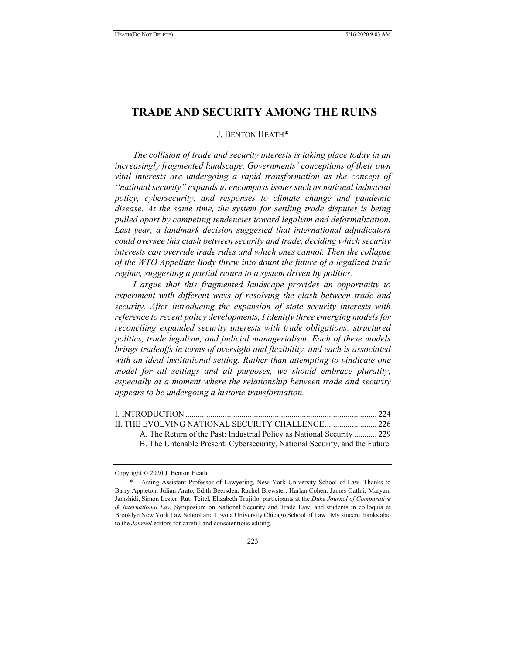# **TRADE AND SECURITY AMONG THE RUINS**

# J. BENTON HEATH\*

*The collision of trade and security interests is taking place today in an increasingly fragmented landscape. Governments' conceptions of their own vital interests are undergoing a rapid transformation as the concept of "national security" expands to encompass issues such as national industrial policy, cybersecurity, and responses to climate change and pandemic disease. At the same time, the system for settling trade disputes is being pulled apart by competing tendencies toward legalism and deformalization. Last year, a landmark decision suggested that international adjudicators could oversee this clash between security and trade, deciding which security interests can override trade rules and which ones cannot. Then the collapse of the WTO Appellate Body threw into doubt the future of a legalized trade regime, suggesting a partial return to a system driven by politics.* 

*I argue that this fragmented landscape provides an opportunity to experiment with different ways of resolving the clash between trade and security. After introducing the expansion of state security interests with reference to recent policy developments, I identify three emerging models for reconciling expanded security interests with trade obligations: structured politics, trade legalism, and judicial managerialism. Each of these models brings tradeoffs in terms of oversight and flexibility, and each is associated with an ideal institutional setting. Rather than attempting to vindicate one model for all settings and all purposes, we should embrace plurality, especially at a moment where the relationship between trade and security appears to be undergoing a historic transformation.* 

| A. The Return of the Past: Industrial Policy as National Security  229 |  |
|------------------------------------------------------------------------|--|
|                                                                        |  |

B. The Untenable Present: Cybersecurity, National Security, and the Future

Copyright © 2020 J. Benton Heath

Acting Assistant Professor of Lawyering, New York University School of Law. Thanks to Barry Appleton, Julian Arato, Edith Beersden, Rachel Brewster, Harlan Cohen, James Gathii, Maryam Jamshidi, Simon Lester, Ruti Teitel, Elizabeth Trujillo, participants at the *Duke Journal of Comparative & International Law* Symposium on National Security and Trade Law, and students in colloquia at Brooklyn New York Law School and Loyola University Chicago School of Law. My sincere thanks also to the *Journal* editors for careful and conscientious editing.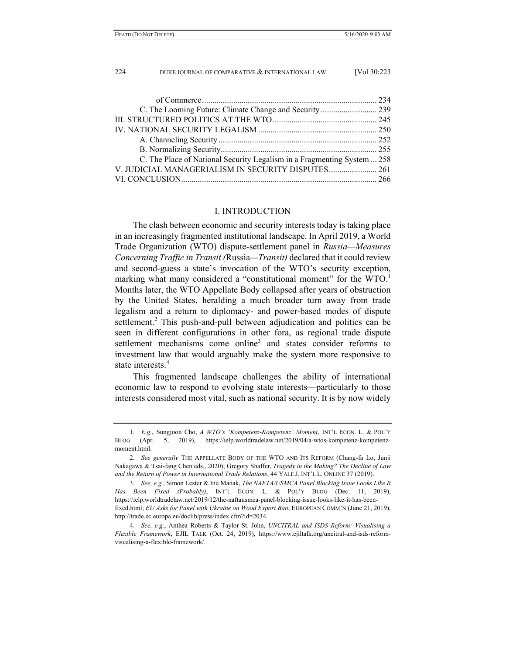| C. The Place of National Security Legalism in a Fragmenting System  258 |  |
|-------------------------------------------------------------------------|--|
| V. JUDICIAL MANAGERIALISM IN SECURITY DISPUTES 261                      |  |
|                                                                         |  |

# I. INTRODUCTION

The clash between economic and security interests today is taking place in an increasingly fragmented institutional landscape. In April 2019, a World Trade Organization (WTO) dispute-settlement panel in *Russia—Measures Concerning Traffic in Transit (*Russia*—Transit)* declared that it could review and second-guess a state's invocation of the WTO's security exception, marking what many considered a "constitutional moment" for the WTO.<sup>1</sup> Months later, the WTO Appellate Body collapsed after years of obstruction by the United States, heralding a much broader turn away from trade legalism and a return to diplomacy- and power-based modes of dispute settlement.<sup>2</sup> This push-and-pull between adjudication and politics can be seen in different configurations in other fora, as regional trade dispute settlement mechanisms come online<sup>3</sup> and states consider reforms to investment law that would arguably make the system more responsive to state interests<sup>4</sup>

This fragmented landscape challenges the ability of international economic law to respond to evolving state interests—particularly to those interests considered most vital, such as national security. It is by now widely

 <sup>1.</sup> *E.g.*, Sungjoon Cho, *A WTO's 'Kompetenz-Kompetenz' Moment*, INT'L ECON. L. & POL'Y BLOG (Apr. 5, 2019), https://ielp.worldtradelaw.net/2019/04/a-wtos-kompetenz-kompetenzmoment.html.

 <sup>2.</sup> *See generally* THE APPELLATE BODY OF THE WTO AND ITS REFORM (Chang-fa Lo, Junji Nakagawa & Tsai-fang Chen eds., 2020); Gregory Shaffer, *Tragedy in the Making? The Decline of Law and the Return of Power in International Trade Relations*, 44 YALE J. INT'L L. ONLINE 37 (2019).

 <sup>3.</sup> *See, e.g.*, Simon Lester & Inu Manak, *The NAFTA/USMCA Panel Blocking Issue Looks Like It Has Been Fixed (Probably)*, INT'L ECON. L. & POL'Y BLOG (Dec. 11, 2019), https://ielp.worldtradelaw.net/2019/12/the-naftausmca-panel-blocking-issue-looks-like-it-has-beenfixed.html; *EU Asks for Panel with Ukraine on Wood Export Ban*, EUROPEAN COMM'N (June 21, 2019), http://trade.ec.europa.eu/doclib/press/index.cfm?id=2034.

 <sup>4.</sup> *See, e.g.*, Anthea Roberts & Taylor St. John, *UNCITRAL and ISDS Reform: Visualising a Flexible Framework*, EJIL TALK (Oct. 24, 2019), https://www.ejiltalk.org/uncitral-and-isds-reformvisualising-a-flexible-framework/.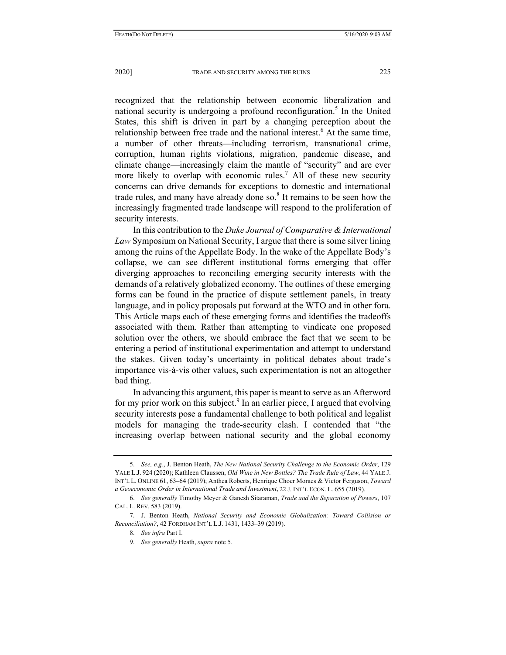recognized that the relationship between economic liberalization and national security is undergoing a profound reconfiguration.<sup>5</sup> In the United States, this shift is driven in part by a changing perception about the relationship between free trade and the national interest.<sup>6</sup> At the same time, a number of other threats—including terrorism, transnational crime, corruption, human rights violations, migration, pandemic disease, and climate change—increasingly claim the mantle of "security" and are ever more likely to overlap with economic rules.<sup>7</sup> All of these new security concerns can drive demands for exceptions to domestic and international trade rules, and many have already done so. $8$  It remains to be seen how the increasingly fragmented trade landscape will respond to the proliferation of security interests.

In this contribution to the *Duke Journal of Comparative & International Law* Symposium on National Security, I argue that there is some silver lining among the ruins of the Appellate Body. In the wake of the Appellate Body's collapse, we can see different institutional forms emerging that offer diverging approaches to reconciling emerging security interests with the demands of a relatively globalized economy. The outlines of these emerging forms can be found in the practice of dispute settlement panels, in treaty language, and in policy proposals put forward at the WTO and in other fora. This Article maps each of these emerging forms and identifies the tradeoffs associated with them. Rather than attempting to vindicate one proposed solution over the others, we should embrace the fact that we seem to be entering a period of institutional experimentation and attempt to understand the stakes. Given today's uncertainty in political debates about trade's importance vis-à-vis other values, such experimentation is not an altogether bad thing.

In advancing this argument, this paper is meant to serve as an Afterword for my prior work on this subject.<sup>9</sup> In an earlier piece, I argued that evolving security interests pose a fundamental challenge to both political and legalist models for managing the trade-security clash. I contended that "the increasing overlap between national security and the global economy

 <sup>5.</sup> *See, e.g.*, J. Benton Heath, *The New National Security Challenge to the Economic Order*, 129 YALE L.J. 924 (2020); Kathleen Claussen, *Old Wine in New Bottles? The Trade Rule of Law*, 44 YALE J. INT'L L. ONLINE 61, 63–64 (2019); Anthea Roberts, Henrique Choer Moraes & Victor Ferguson, *Toward a Geoeconomic Order in International Trade and Investment*, 22 J. INT'L ECON. L. 655 (2019).

 <sup>6.</sup> *See generally* Timothy Meyer & Ganesh Sitaraman, *Trade and the Separation of Powers*, 107 CAL. L. REV. 583 (2019).

 <sup>7.</sup> J. Benton Heath, *National Security and Economic Globalization: Toward Collision or Reconciliation?*, 42 FORDHAM INT'L L.J. 1431, 1433–39 (2019).

 <sup>8.</sup> *See infra* Part I.

 <sup>9.</sup> *See generally* Heath, *supra* note 5.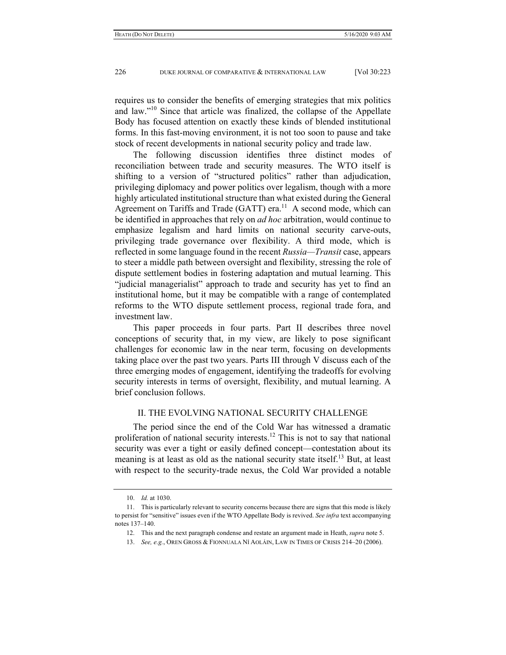requires us to consider the benefits of emerging strategies that mix politics and law."<sup>10</sup> Since that article was finalized, the collapse of the Appellate Body has focused attention on exactly these kinds of blended institutional forms. In this fast-moving environment, it is not too soon to pause and take stock of recent developments in national security policy and trade law.

The following discussion identifies three distinct modes of reconciliation between trade and security measures. The WTO itself is shifting to a version of "structured politics" rather than adjudication, privileging diplomacy and power politics over legalism, though with a more highly articulated institutional structure than what existed during the General Agreement on Tariffs and Trade (GATT) era.<sup>11</sup> A second mode, which can be identified in approaches that rely on *ad hoc* arbitration, would continue to emphasize legalism and hard limits on national security carve-outs, privileging trade governance over flexibility. A third mode, which is reflected in some language found in the recent *Russia—Transit* case, appears to steer a middle path between oversight and flexibility, stressing the role of dispute settlement bodies in fostering adaptation and mutual learning. This "judicial managerialist" approach to trade and security has yet to find an institutional home, but it may be compatible with a range of contemplated reforms to the WTO dispute settlement process, regional trade fora, and investment law.

This paper proceeds in four parts. Part II describes three novel conceptions of security that, in my view, are likely to pose significant challenges for economic law in the near term, focusing on developments taking place over the past two years. Parts III through V discuss each of the three emerging modes of engagement, identifying the tradeoffs for evolving security interests in terms of oversight, flexibility, and mutual learning. A brief conclusion follows.

### II. THE EVOLVING NATIONAL SECURITY CHALLENGE

The period since the end of the Cold War has witnessed a dramatic proliferation of national security interests.<sup>12</sup> This is not to say that national security was ever a tight or easily defined concept—contestation about its meaning is at least as old as the national security state itself.<sup>13</sup> But, at least with respect to the security-trade nexus, the Cold War provided a notable

 <sup>10.</sup> *Id.* at 1030.

 <sup>11.</sup> This is particularly relevant to security concerns because there are signs that this mode is likely to persist for "sensitive" issues even if the WTO Appellate Body is revived. *See infra* text accompanying notes 137–140.

 <sup>12.</sup> This and the next paragraph condense and restate an argument made in Heath, *supra* note 5.

 <sup>13.</sup> *See, e.g.*, OREN GROSS & FIONNUALA NÍ AOLÁIN, LAW IN TIMES OF CRISIS 214–20 (2006).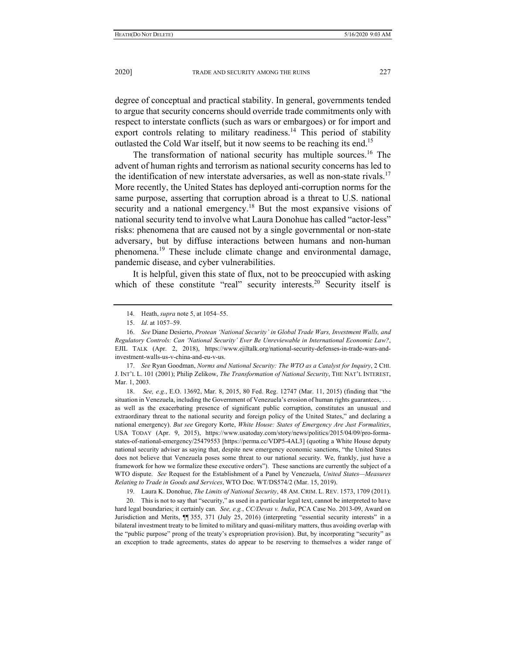degree of conceptual and practical stability. In general, governments tended to argue that security concerns should override trade commitments only with respect to interstate conflicts (such as wars or embargoes) or for import and export controls relating to military readiness.<sup>14</sup> This period of stability outlasted the Cold War itself, but it now seems to be reaching its end.<sup>15</sup>

The transformation of national security has multiple sources.16 The advent of human rights and terrorism as national security concerns has led to the identification of new interstate adversaries, as well as non-state rivals.<sup>17</sup> More recently, the United States has deployed anti-corruption norms for the same purpose, asserting that corruption abroad is a threat to U.S. national security and a national emergency.<sup>18</sup> But the most expansive visions of national security tend to involve what Laura Donohue has called "actor-less" risks: phenomena that are caused not by a single governmental or non-state adversary, but by diffuse interactions between humans and non-human phenomena.19 These include climate change and environmental damage, pandemic disease, and cyber vulnerabilities.

It is helpful, given this state of flux, not to be preoccupied with asking which of these constitute "real" security interests.<sup>20</sup> Security itself is

 17. *See* Ryan Goodman, *Norms and National Security: The WTO as a Catalyst for Inquiry*, 2 CHI. J. INT'L L. 101 (2001); Philip Zelikow, *The Transformation of National Security*, THE NAT'L INTEREST, Mar. 1, 2003.

 18. *See, e.g.*, E.O. 13692, Mar. 8, 2015, 80 Fed. Reg. 12747 (Mar. 11, 2015) (finding that "the situation in Venezuela, including the Government of Venezuela's erosion of human rights guarantees, . . . as well as the exacerbating presence of significant public corruption, constitutes an unusual and extraordinary threat to the national security and foreign policy of the United States," and declaring a national emergency). *But see* Gregory Korte, *White House: States of Emergency Are Just Formalities*, USA TODAY (Apr. 9, 2015), https://www.usatoday.com/story/news/politics/2015/04/09/pro-formastates-of-national-emergency/25479553 [https://perma.cc/VDP5-4AL3] (quoting a White House deputy national security adviser as saying that, despite new emergency economic sanctions, "the United States does not believe that Venezuela poses some threat to our national security. We, frankly, just have a framework for how we formalize these executive orders"). These sanctions are currently the subject of a WTO dispute. *See* Request for the Establishment of a Panel by Venezuela, *United States—Measures Relating to Trade in Goods and Services*, WTO Doc. WT/DS574/2 (Mar. 15, 2019).

19. Laura K. Donohue, *The Limits of National Security*, 48 AM. CRIM. L. REV. 1573, 1709 (2011).

 20. This is not to say that "security," as used in a particular legal text, cannot be interpreted to have hard legal boundaries; it certainly can. *See, e.g.*, *CC/Devas v. India*, PCA Case No. 2013-09, Award on Jurisdiction and Merits, ¶¶ 355, 371 (July 25, 2016) (interpreting "essential security interests" in a bilateral investment treaty to be limited to military and quasi-military matters, thus avoiding overlap with the "public purpose" prong of the treaty's expropriation provision). But, by incorporating "security" as an exception to trade agreements, states do appear to be reserving to themselves a wider range of

 <sup>14.</sup> Heath, *supra* note 5, at 1054–55.

 <sup>15.</sup> *Id*. at 1057–59.

 <sup>16.</sup> *See* Diane Desierto, *Protean 'National Security' in Global Trade Wars, Investment Walls, and Regulatory Controls: Can 'National Security' Ever Be Unreviewable in International Economic Law?*, EJIL TALK (Apr. 2, 2018), https://www.ejiltalk.org/national-security-defenses-in-trade-wars-andinvestment-walls-us-v-china-and-eu-v-us.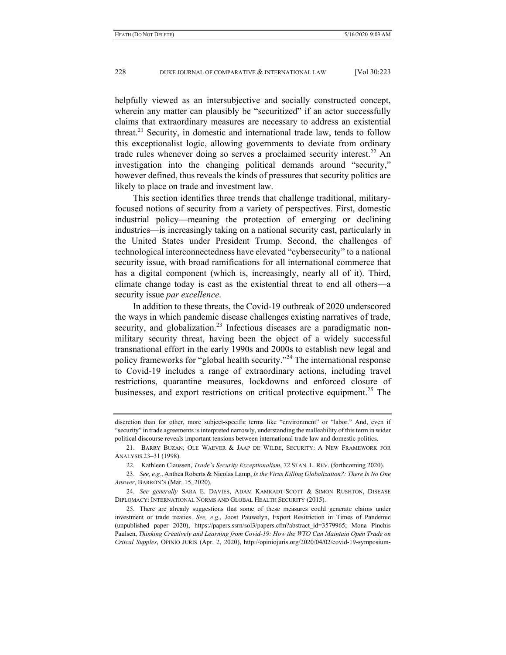helpfully viewed as an intersubjective and socially constructed concept, wherein any matter can plausibly be "securitized" if an actor successfully claims that extraordinary measures are necessary to address an existential threat.<sup>21</sup> Security, in domestic and international trade law, tends to follow this exceptionalist logic, allowing governments to deviate from ordinary trade rules whenever doing so serves a proclaimed security interest.<sup>22</sup> An investigation into the changing political demands around "security," however defined, thus reveals the kinds of pressures that security politics are likely to place on trade and investment law.

This section identifies three trends that challenge traditional, militaryfocused notions of security from a variety of perspectives. First, domestic industrial policy—meaning the protection of emerging or declining industries—is increasingly taking on a national security cast, particularly in the United States under President Trump. Second, the challenges of technological interconnectedness have elevated "cybersecurity" to a national security issue, with broad ramifications for all international commerce that has a digital component (which is, increasingly, nearly all of it). Third, climate change today is cast as the existential threat to end all others—a security issue *par excellence*.

In addition to these threats, the Covid-19 outbreak of 2020 underscored the ways in which pandemic disease challenges existing narratives of trade, security, and globalization.<sup>23</sup> Infectious diseases are a paradigmatic nonmilitary security threat, having been the object of a widely successful transnational effort in the early 1990s and 2000s to establish new legal and policy frameworks for "global health security."24 The international response to Covid-19 includes a range of extraordinary actions, including travel restrictions, quarantine measures, lockdowns and enforced closure of businesses, and export restrictions on critical protective equipment.<sup>25</sup> The

discretion than for other, more subject-specific terms like "environment" or "labor." And, even if "security" in trade agreements is interpreted narrowly, understanding the malleability of this term in wider political discourse reveals important tensions between international trade law and domestic politics.

 <sup>21.</sup> BARRY BUZAN, OLE WAEVER & JAAP DE WILDE, SECURITY: A NEW FRAMEWORK FOR ANALYSIS 23–31 (1998).

 <sup>22.</sup> Kathleen Claussen, *Trade's Security Exceptionalism*, 72 STAN. L. REV. (forthcoming 2020).

 <sup>23.</sup> *See, e.g.*, Anthea Roberts & Nicolas Lamp, *Is the Virus Killing Globalization?: There Is No One Answer*, BARRON'S (Mar. 15, 2020).

 <sup>24.</sup> *See generally* SARA E. DAVIES, ADAM KAMRADT-SCOTT & SIMON RUSHTON, DISEASE DIPLOMACY: INTERNATIONAL NORMS AND GLOBAL HEALTH SECURITY (2015).

 <sup>25.</sup> There are already suggestions that some of these measures could generate claims under investment or trade treaties. *See, e.g.*, Joost Pauwelyn, Export Resitriction in Times of Pandemic (unpublished paper 2020), https://papers.ssrn/sol3/papers.cfm?abstract\_id=3579965; Mona Pinchis Paulsen, *Thinking Creatively and Learning from Covid-19: How the WTO Can Maintain Open Trade on Critcal Supples*, OPINIO JURIS (Apr. 2, 2020), http://opiniojuris.org/2020/04/02/covid-19-symposium-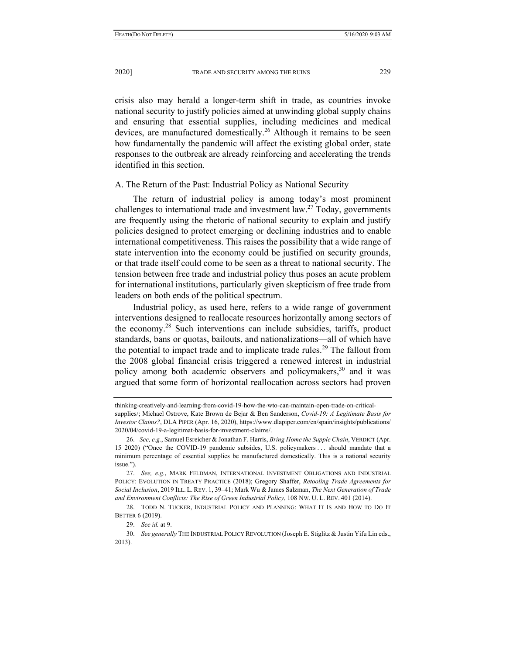crisis also may herald a longer-term shift in trade, as countries invoke national security to justify policies aimed at unwinding global supply chains and ensuring that essential supplies, including medicines and medical devices, are manufactured domestically.<sup>26</sup> Although it remains to be seen how fundamentally the pandemic will affect the existing global order, state responses to the outbreak are already reinforcing and accelerating the trends identified in this section.

#### A. The Return of the Past: Industrial Policy as National Security

The return of industrial policy is among today's most prominent challenges to international trade and investment law.<sup>27</sup> Today, governments are frequently using the rhetoric of national security to explain and justify policies designed to protect emerging or declining industries and to enable international competitiveness. This raises the possibility that a wide range of state intervention into the economy could be justified on security grounds, or that trade itself could come to be seen as a threat to national security. The tension between free trade and industrial policy thus poses an acute problem for international institutions, particularly given skepticism of free trade from leaders on both ends of the political spectrum.

Industrial policy, as used here, refers to a wide range of government interventions designed to reallocate resources horizontally among sectors of the economy.<sup>28</sup> Such interventions can include subsidies, tariffs, product standards, bans or quotas, bailouts, and nationalizations—all of which have the potential to impact trade and to implicate trade rules.<sup>29</sup> The fallout from the 2008 global financial crisis triggered a renewed interest in industrial policy among both academic observers and policymakers,  $30$  and it was argued that some form of horizontal reallocation across sectors had proven

thinking-creatively-and-learning-from-covid-19-how-the-wto-can-maintain-open-trade-on-critical-

supplies/; Michael Ostrove, Kate Brown de Bejar & Ben Sanderson, *Covid-19: A Legitimate Basis for Investor Claims?*, DLA PIPER (Apr. 16, 2020), https://www.dlapiper.com/en/spain/insights/publications/ 2020/04/covid-19-a-legitimat-basis-for-investment-claims/.

 <sup>26.</sup> *See, e.g.*, Samuel Esreicher & Jonathan F. Harris, *Bring Home the Supple Chain*, VERDICT (Apr. 15 2020) ("Once the COVID-19 pandemic subsides, U.S. policymakers . . . should mandate that a minimum percentage of essential supplies be manufactured domestically. This is a national security issue.").

 <sup>27.</sup> *See, e.g.*, MARK FELDMAN, INTERNATIONAL INVESTMENT OBLIGATIONS AND INDUSTRIAL POLICY: EVOLUTION IN TREATY PRACTICE (2018); Gregory Shaffer, *Retooling Trade Agreements for Social Inclusion*, 2019 ILL. L. REV. 1, 39–41; Mark Wu & James Salzman, *The Next Generation of Trade and Environment Conflicts: The Rise of Green Industrial Policy*, 108 NW. U. L. REV. 401 (2014).

 <sup>28.</sup> TODD N. TUCKER, INDUSTRIAL POLICY AND PLANNING: WHAT IT IS AND HOW TO DO IT BETTER 6 (2019).

 <sup>29.</sup> *See id.* at 9.

 <sup>30.</sup> *See generally* THE INDUSTRIAL POLICY REVOLUTION (Joseph E. Stiglitz & Justin Yifu Lin eds., 2013).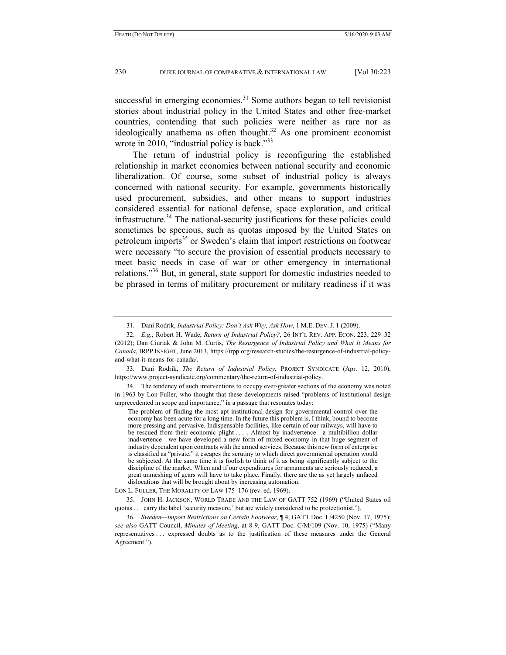successful in emerging economies.<sup>31</sup> Some authors began to tell revisionist stories about industrial policy in the United States and other free-market countries, contending that such policies were neither as rare nor as ideologically anathema as often thought.<sup>32</sup> As one prominent economist wrote in 2010, "industrial policy is back."<sup>33</sup>

The return of industrial policy is reconfiguring the established relationship in market economies between national security and economic liberalization. Of course, some subset of industrial policy is always concerned with national security. For example, governments historically used procurement, subsidies, and other means to support industries considered essential for national defense, space exploration, and critical infrastructure.<sup>34</sup> The national-security justifications for these policies could sometimes be specious, such as quotas imposed by the United States on petroleum imports<sup>35</sup> or Sweden's claim that import restrictions on footwear were necessary "to secure the provision of essential products necessary to meet basic needs in case of war or other emergency in international relations."36 But, in general, state support for domestic industries needed to be phrased in terms of military procurement or military readiness if it was

 33. Dani Rodrik, *The Return of Industrial Policy*, PROJECT SYNDICATE (Apr. 12, 2010), https://www.project-syndicate.org/commentary/the-return-of-industrial-policy.

 34. The tendency of such interventions to occupy ever-greater sections of the economy was noted in 1963 by Lon Fuller, who thought that these developments raised "problems of institutional design unprecedented in scope and importance," in a passage that resonates today:

The problem of finding the most apt institutional design for governmental control over the economy has been acute for a long time. In the future this problem is, I think, bound to become more pressing and pervasive. Indispensable facilities, like certain of our railways, will have to be rescued from their economic plight . . . . Almost by inadvertence—a multibillion dollar inadvertence—we have developed a new form of mixed economy in that huge segment of industry dependent upon contracts with the armed services. Because this new form of enterprise is classified as "private," it escapes the scrutiny to which direct governmental operation would be subjected. At the same time it is foolish to think of it as being significantly subject to the discipline of the market. When and if our expenditures for armaments are seriously reduced, a great unmeshing of gears will have to take place. Finally, there are the as yet largely unfaced dislocations that will be brought about by increasing automation.

LON L. FULLER, THE MORALITY OF LAW 175–176 (rev. ed. 1969).

 35. JOHN H. JACKSON, WORLD TRADE AND THE LAW OF GATT 752 (1969) ("United States oil quotas . . . carry the label 'security measure,' but are widely considered to be protectionist.").

 36. *Sweden—Import Restrictions on Certain Footwear*, ¶ 4, GATT Doc. L/4250 (Nov. 17, 1975); *see also* GATT Council, *Minutes of Meeting*, at 8-9, GATT Doc. C/M/109 (Nov. 10, 1975) ("Many representatives . . . expressed doubts as to the justification of these measures under the General Agreement.").

 <sup>31.</sup> Dani Rodrik, *Industrial Policy: Don't Ask Why, Ask How*, 1 M.E. DEV. J. 1 (2009).

 <sup>32.</sup> *E.g.*, Robert H. Wade, *Return of Industrial Policy?*, 26 INT'L REV. APP. ECON. 223, 229–32 (2012); Dan Ciuriak & John M. Curtis, *The Resurgence of Industrial Policy and What It Means for Canada*, IRPP INSIGHT, June 2013, https://irpp.org/research-studies/the-resurgence-of-industrial-policyand-what-it-means-for-canada/.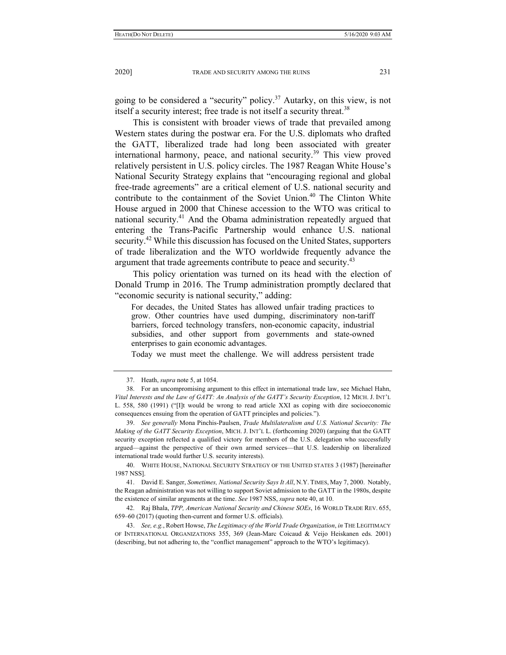going to be considered a "security" policy.<sup>37</sup> Autarky, on this view, is not itself a security interest; free trade is not itself a security threat.<sup>38</sup>

This is consistent with broader views of trade that prevailed among Western states during the postwar era. For the U.S. diplomats who drafted the GATT, liberalized trade had long been associated with greater international harmony, peace, and national security.<sup>39</sup> This view proved relatively persistent in U.S. policy circles. The 1987 Reagan White House's National Security Strategy explains that "encouraging regional and global free-trade agreements" are a critical element of U.S. national security and contribute to the containment of the Soviet Union.<sup>40</sup> The Clinton White House argued in 2000 that Chinese accession to the WTO was critical to national security.<sup>41</sup> And the Obama administration repeatedly argued that entering the Trans-Pacific Partnership would enhance U.S. national security.<sup>42</sup> While this discussion has focused on the United States, supporters of trade liberalization and the WTO worldwide frequently advance the argument that trade agreements contribute to peace and security.<sup>43</sup>

This policy orientation was turned on its head with the election of Donald Trump in 2016. The Trump administration promptly declared that "economic security is national security," adding:

For decades, the United States has allowed unfair trading practices to grow. Other countries have used dumping, discriminatory non-tariff barriers, forced technology transfers, non-economic capacity, industrial subsidies, and other support from governments and state-owned enterprises to gain economic advantages.

Today we must meet the challenge. We will address persistent trade

 39. *See generally* Mona Pinchis-Paulsen, *Trade Multilateralism and U.S. National Security: The Making of the GATT Security Exception*, MICH. J. INT'L L. (forthcoming 2020) (arguing that the GATT security exception reflected a qualified victory for members of the U.S. delegation who successfully argued—against the perspective of their own armed services—that U.S. leadership on liberalized international trade would further U.S. security interests).

 40. WHITE HOUSE, NATIONAL SECURITY STRATEGY OF THE UNITED STATES 3 (1987) [hereinafter 1987 NSS].

 41. David E. Sanger, *Sometimes, National Security Says It All*, N.Y. TIMES, May 7, 2000. Notably, the Reagan administration was not willing to support Soviet admission to the GATT in the 1980s, despite the existence of similar arguments at the time. *See* 1987 NSS, *supra* note 40, at 10.

 42. Raj Bhala, *TPP, American National Security and Chinese SOEs*, 16 WORLD TRADE REV. 655, 659–60 (2017) (quoting then-current and former U.S. officials).

 <sup>37.</sup> Heath, *supra* note 5, at 1054.

 <sup>38.</sup> For an uncompromising argument to this effect in international trade law, see Michael Hahn, *Vital Interests and the Law of GATT: An Analysis of the GATT's Security Exception*, 12 MICH. J. INT'L L. 558, 580 (1991) ("[I]t would be wrong to read article XXI as coping with dire socioeconomic consequences ensuing from the operation of GATT principles and policies.").

 <sup>43.</sup> *See, e.g.*, Robert Howse, *The Legitimacy of the World Trade Organization*, *in* THE LEGITIMACY OF INTERNATIONAL ORGANIZATIONS 355, 369 (Jean-Marc Coicaud & Veijo Heiskanen eds. 2001) (describing, but not adhering to, the "conflict management" approach to the WTO's legitimacy).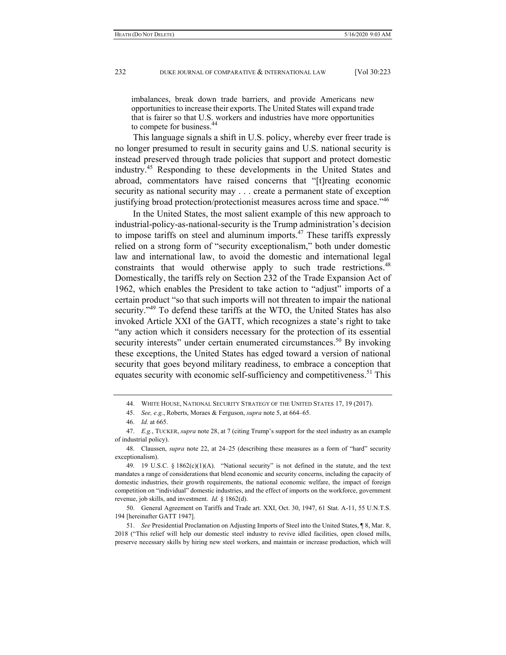imbalances, break down trade barriers, and provide Americans new opportunities to increase their exports. The United States will expand trade that is fairer so that U.S. workers and industries have more opportunities to compete for business.

This language signals a shift in U.S. policy, whereby ever freer trade is no longer presumed to result in security gains and U.S. national security is instead preserved through trade policies that support and protect domestic industry.45 Responding to these developments in the United States and abroad, commentators have raised concerns that "[t]reating economic security as national security may . . . create a permanent state of exception justifying broad protection/protectionist measures across time and space."46

In the United States, the most salient example of this new approach to industrial-policy-as-national-security is the Trump administration's decision to impose tariffs on steel and aluminum imports. $47$  These tariffs expressly relied on a strong form of "security exceptionalism," both under domestic law and international law, to avoid the domestic and international legal constraints that would otherwise apply to such trade restrictions.<sup>48</sup> Domestically, the tariffs rely on Section 232 of the Trade Expansion Act of 1962, which enables the President to take action to "adjust" imports of a certain product "so that such imports will not threaten to impair the national security."<sup>49</sup> To defend these tariffs at the WTO, the United States has also invoked Article XXI of the GATT, which recognizes a state's right to take "any action which it considers necessary for the protection of its essential security interests" under certain enumerated circumstances.<sup>50</sup> By invoking these exceptions, the United States has edged toward a version of national security that goes beyond military readiness, to embrace a conception that equates security with economic self-sufficiency and competitiveness.<sup>51</sup> This

 <sup>44.</sup> WHITE HOUSE, NATIONAL SECURITY STRATEGY OF THE UNITED STATES 17, 19 (2017).

 <sup>45.</sup> *See, e.g.*, Roberts, Moraes & Ferguson, *supra* note 5, at 664–65.

 <sup>46.</sup> *Id.* at 665.

 <sup>47.</sup> *E.g.*, TUCKER, *supra* note 28, at 7 (citing Trump's support for the steel industry as an example of industrial policy).

 <sup>48.</sup> Claussen, *supra* note 22, at 24–25 (describing these measures as a form of "hard" security exceptionalism).

<sup>49. 19</sup> U.S.C. §  $1862(c)(1)(A)$ . "National security" is not defined in the statute, and the text mandates a range of considerations that blend economic and security concerns, including the capacity of domestic industries, their growth requirements, the national economic welfare, the impact of foreign competition on "individual" domestic industries, and the effect of imports on the workforce, government revenue, job skills, and investment. *Id.* § 1862(d).

 <sup>50.</sup> General Agreement on Tariffs and Trade art. XXI, Oct. 30, 1947, 61 Stat. A-11, 55 U.N.T.S. 194 [hereinafter GATT 1947].

 <sup>51.</sup> *See* Presidential Proclamation on Adjusting Imports of Steel into the United States, ¶ 8, Mar. 8, 2018 ("This relief will help our domestic steel industry to revive idled facilities, open closed mills, preserve necessary skills by hiring new steel workers, and maintain or increase production, which will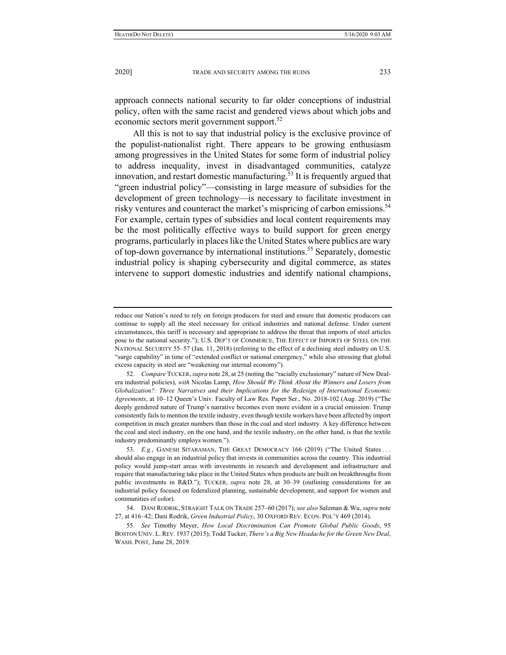approach connects national security to far older conceptions of industrial policy, often with the same racist and gendered views about which jobs and economic sectors merit government support.<sup>52</sup>

All this is not to say that industrial policy is the exclusive province of the populist-nationalist right. There appears to be growing enthusiasm among progressives in the United States for some form of industrial policy to address inequality, invest in disadvantaged communities, catalyze innovation, and restart domestic manufacturing.<sup>53</sup> It is frequently argued that "green industrial policy"—consisting in large measure of subsidies for the development of green technology—is necessary to facilitate investment in risky ventures and counteract the market's mispricing of carbon emissions.<sup>54</sup> For example, certain types of subsidies and local content requirements may be the most politically effective ways to build support for green energy programs, particularly in places like the United States where publics are wary of top-down governance by international institutions.<sup>55</sup> Separately, domestic industrial policy is shaping cybersecurity and digital commerce, as states intervene to support domestic industries and identify national champions,

reduce our Nation's need to rely on foreign producers for steel and ensure that domestic producers can continue to supply all the steel necessary for critical industries and national defense. Under current circumstances, this tariff is necessary and appropriate to address the threat that imports of steel articles pose to the national security."); U.S. DEP'T OF COMMERCE, THE EFFECT OF IMPORTS OF STEEL ON THE NATIONAL SECURITY 55–57 (Jan. 11, 2018) (referring to the effect of a declining steel industry on U.S. "surge capability" in time of "extended conflict or national emergency," while also stressing that global excess capacity in steel are "weakening our internal economy").

 <sup>52.</sup> *Compare* TUCKER, *supra* note 28, at 25 (noting the "racially exclusionary" nature of New Dealera industrial policies), *with* Nicolas Lamp, *How Should We Think About the Winners and Losers from Globalization?: Three Narratives and their Implications for the Redesign of International Economic Agreements*, at 10–12 Queen's Univ. Faculty of Law Res. Paper Ser., No. 2018-102 (Aug. 2019) ("The deeply gendered nature of Trump's narrative becomes even more evident in a crucial omission: Trump consistently fails to mention the textile industry, even though textile workers have been affected by import competition in much greater numbers than those in the coal and steel industry. A key difference between the coal and steel industry, on the one hand, and the textile industry, on the other hand, is that the textile industry predominantly employs women.").

 <sup>53.</sup> *E.g.*, GANESH SITARAMAN, THE GREAT DEMOCRACY 166 (2019) ("The United States . . . should also engage in an industrial policy that invests in communities across the country. This industrial policy would jump-start areas with investments in research and development and infrastructure and require that manufacturing take place in the United States when products are built on breakthroughs from public investments in R&D."); TUCKER, *supra* note 28, at 30–39 (outlining considerations for an industrial policy focused on federalized planning, sustainable development, and support for women and communities of color).

 <sup>54.</sup> DANI RODRIK, STRAIGHT TALK ON TRADE 257–60 (2017); *see also* Salzman & Wu, *supra* note 27, at 416–42; Dani Rodrik, *Green Industrial Policy*, 30 OXFORD REV. ECON. POL'Y 469 (2014).

 <sup>55.</sup> *See* Timothy Meyer, *How Local Discrimination Can Promote Global Public Goods*, 95 BOSTON UNIV. L. REV. 1937 (2015); Todd Tucker, *There's a Big New Headache for the Green New Deal*, WASH. POST, June 28, 2019.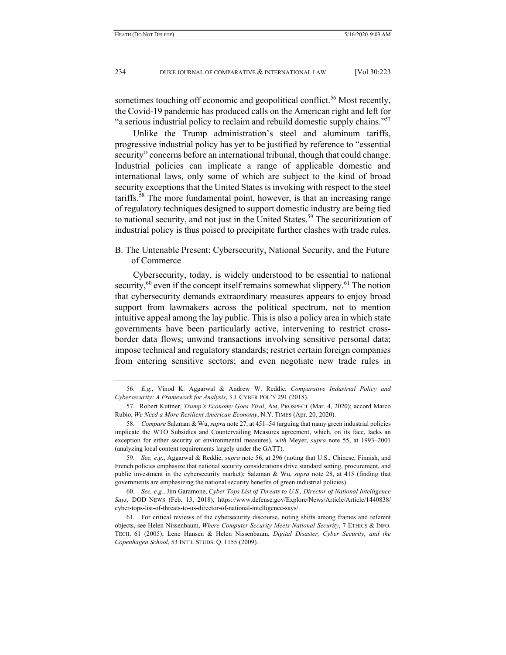sometimes touching off economic and geopolitical conflict.<sup>56</sup> Most recently, the Covid-19 pandemic has produced calls on the American right and left for "a serious industrial policy to reclaim and rebuild domestic supply chains."<sup>57</sup>

Unlike the Trump administration's steel and aluminum tariffs, progressive industrial policy has yet to be justified by reference to "essential security" concerns before an international tribunal, though that could change. Industrial policies can implicate a range of applicable domestic and international laws, only some of which are subject to the kind of broad security exceptions that the United States is invoking with respect to the steel tariffs.<sup>58</sup> The more fundamental point, however, is that an increasing range of regulatory techniques designed to support domestic industry are being tied to national security, and not just in the United States.<sup>59</sup> The securitization of industrial policy is thus poised to precipitate further clashes with trade rules.

B. The Untenable Present: Cybersecurity, National Security, and the Future of Commerce

Cybersecurity, today, is widely understood to be essential to national security,  $60$  even if the concept itself remains somewhat slippery.  $61$  The notion that cybersecurity demands extraordinary measures appears to enjoy broad support from lawmakers across the political spectrum, not to mention intuitive appeal among the lay public. This is also a policy area in which state governments have been particularly active, intervening to restrict crossborder data flows; unwind transactions involving sensitive personal data; impose technical and regulatory standards; restrict certain foreign companies from entering sensitive sectors; and even negotiate new trade rules in

 <sup>56.</sup> *E.g.*, Vinod K. Aggarwal & Andrew W. Reddie, *Comparative Industrial Policy and Cybersecurity: A Framework for Analysis*, 3 J. CYBER POL'Y 291 (2018).

 <sup>57.</sup> Robert Kuttner, *Trump's Economy Goes Viral*, AM. PROSPECT (Mar. 4, 2020); accord Marco Rubio, *We Need a More Resilient American Economy*, N.Y. TIMES (Apr. 20, 2020).

 <sup>58.</sup> *Compare* Salzman & Wu, *supra* note 27, at 451–54 (arguing that many green industrial policies implicate the WTO Subsidies and Countervailing Measures agreement, which, on its face, lacks an exception for either security or environmental measures), *with* Meyer, *supra* note 55, at 1993–2001 (analyzing local content requirements largely under the GATT).

 <sup>59.</sup> *See, e.g.*, Aggarwal & Reddie, *supra* note 56, at 296 (noting that U.S., Chinese, Finnish, and French policies emphasize that national security considerations drive standard setting, procurement, and public investment in the cybersecurity market); Salzman & Wu, *supra* note 28, at 415 (finding that governments are emphasizing the national security benefits of green industrial policies).

 <sup>60.</sup> *See, e.g.*, Jim Garamone, *Cyber Tops List of Threats to U.S., Director of National Intelligence Says*, DOD NEWS (Feb. 13, 2018), https://www.defense.gov/Explore/News/Article/Article/1440838/ cyber-tops-list-of-threats-to-us-director-of-national-intelligence-says/.

 <sup>61.</sup> For critical reviews of the cybersecurity discourse, noting shifts among frames and referent objects, see Helen Nissenbaum, *Where Computer Security Meets National Security*, 7 ETHICS & INFO. TECH. 61 (2005); Lene Hansen & Helen Nissenbaum, *Digital Disaster, Cyber Security, and the Copenhagen School*, 53 INT'L STUDS. Q. 1155 (2009).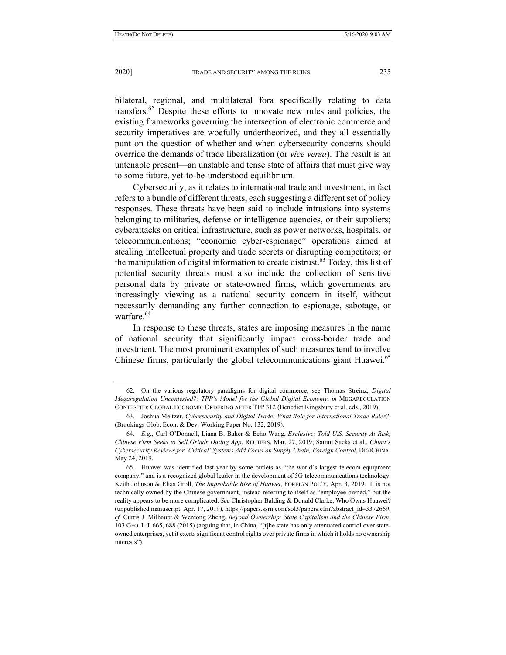bilateral, regional, and multilateral fora specifically relating to data transfers.62 Despite these efforts to innovate new rules and policies, the existing frameworks governing the intersection of electronic commerce and security imperatives are woefully undertheorized, and they all essentially punt on the question of whether and when cybersecurity concerns should override the demands of trade liberalization (or *vice versa*). The result is an untenable present—an unstable and tense state of affairs that must give way to some future, yet-to-be-understood equilibrium.

Cybersecurity, as it relates to international trade and investment, in fact refers to a bundle of different threats, each suggesting a different set of policy responses. These threats have been said to include intrusions into systems belonging to militaries, defense or intelligence agencies, or their suppliers; cyberattacks on critical infrastructure, such as power networks, hospitals, or telecommunications; "economic cyber-espionage" operations aimed at stealing intellectual property and trade secrets or disrupting competitors; or the manipulation of digital information to create distrust.<sup>63</sup> Today, this list of potential security threats must also include the collection of sensitive personal data by private or state-owned firms, which governments are increasingly viewing as a national security concern in itself, without necessarily demanding any further connection to espionage, sabotage, or warfare.<sup>64</sup>

In response to these threats, states are imposing measures in the name of national security that significantly impact cross-border trade and investment. The most prominent examples of such measures tend to involve Chinese firms, particularly the global telecommunications giant Huawei.<sup>65</sup>

 <sup>62.</sup> On the various regulatory paradigms for digital commerce, see Thomas Streinz, *Digital Megaregulation Uncontested?: TPP's Model for the Global Digital Economy*, *in* MEGAREGULATION CONTESTED: GLOBAL ECONOMIC ORDERING AFTER TPP 312 (Benedict Kingsbury et al. eds., 2019).

 <sup>63.</sup> Joshua Meltzer, *Cybersecurity and Digital Trade: What Role for International Trade Rules?*, (Brookings Glob. Econ. & Dev. Working Paper No. 132, 2019).

 <sup>64.</sup> *E.g.*, Carl O'Donnell, Liana B. Baker & Echo Wang, *Exclusive: Told U.S. Security At Risk, Chinese Firm Seeks to Sell Grindr Dating App*, REUTERS, Mar. 27, 2019; Samm Sacks et al., *China's Cybersecurity Reviews for 'Critical' Systems Add Focus on Supply Chain, Foreign Control*, DIGICHINA, May 24, 2019.

 <sup>65.</sup> Huawei was identified last year by some outlets as "the world's largest telecom equipment company," and is a recognized global leader in the development of 5G telecommunications technology. Keith Johnson & Elias Groll, *The Improbable Rise of Huawei*, FOREIGN POL'Y, Apr. 3, 2019. It is not technically owned by the Chinese government, instead referring to itself as "employee-owned," but the reality appears to be more complicated. *See* Christopher Balding & Donald Clarke, Who Owns Huawei? (unpublished manuscript, Apr. 17, 2019), https://papers.ssrn.com/sol3/papers.cfm?abstract\_id=3372669; *cf.* Curtis J. Milhaupt & Wentong Zheng, *Beyond Ownership: State Capitalism and the Chinese Firm*, 103 GEO. L.J. 665, 688 (2015) (arguing that, in China, "[t]he state has only attenuated control over stateowned enterprises, yet it exerts significant control rights over private firms in which it holds no ownership interests").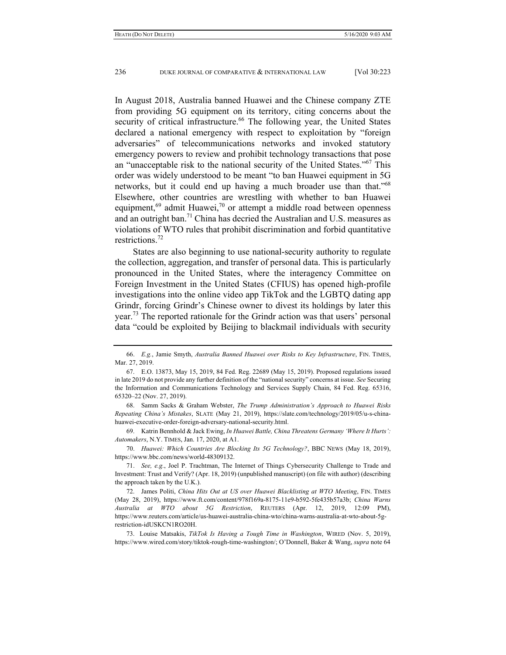In August 2018, Australia banned Huawei and the Chinese company ZTE from providing 5G equipment on its territory, citing concerns about the security of critical infrastructure.<sup>66</sup> The following year, the United States declared a national emergency with respect to exploitation by "foreign adversaries" of telecommunications networks and invoked statutory emergency powers to review and prohibit technology transactions that pose an "unacceptable risk to the national security of the United States."67 This order was widely understood to be meant "to ban Huawei equipment in 5G networks, but it could end up having a much broader use than that.<sup>"68</sup> Elsewhere, other countries are wrestling with whether to ban Huawei equipment, $69$  admit Huawei, $70$  or attempt a middle road between openness and an outright ban.<sup>71</sup> China has decried the Australian and U.S. measures as violations of WTO rules that prohibit discrimination and forbid quantitative restrictions<sup>72</sup>

States are also beginning to use national-security authority to regulate the collection, aggregation, and transfer of personal data. This is particularly pronounced in the United States, where the interagency Committee on Foreign Investment in the United States (CFIUS) has opened high-profile investigations into the online video app TikTok and the LGBTQ dating app Grindr, forcing Grindr's Chinese owner to divest its holdings by later this year.73 The reported rationale for the Grindr action was that users' personal data "could be exploited by Beijing to blackmail individuals with security

 <sup>66.</sup> *E.g.*, Jamie Smyth, *Australia Banned Huawei over Risks to Key Infrastructure*, FIN. TIMES, Mar. 27, 2019.

 <sup>67.</sup> E.O. 13873, May 15, 2019, 84 Fed. Reg. 22689 (May 15, 2019). Proposed regulations issued in late 2019 do not provide any further definition of the "national security" concerns at issue. *See* Securing the Information and Communications Technology and Services Supply Chain, 84 Fed. Reg. 65316, 65320–22 (Nov. 27, 2019).

 <sup>68.</sup> Samm Sacks & Graham Webster, *The Trump Administration's Approach to Huawei Risks Repeating China's Mistakes*, SLATE (May 21, 2019), https://slate.com/technology/2019/05/u-s-chinahuawei-executive-order-foreign-adversary-national-security.html.

 <sup>69.</sup> Katrin Bennhold & Jack Ewing, *In Huawei Battle, China Threatens Germany 'Where It Hurts': Automakers*, N.Y. TIMES, Jan. 17, 2020, at A1.

 <sup>70.</sup> *Huawei: Which Countries Are Blocking Its 5G Technology?*, BBC NEWS (May 18, 2019), https://www.bbc.com/news/world-48309132.

 <sup>71.</sup> *See, e.g.*, Joel P. Trachtman, The Internet of Things Cybersecurity Challenge to Trade and Investment: Trust and Verify? (Apr. 18, 2019) (unpublished manuscript) (on file with author) (describing the approach taken by the U.K.).

 <sup>72.</sup> James Politi, *China Hits Out at US over Huawei Blacklisting at WTO Meeting*, FIN. TIMES (May 28, 2019), https://www.ft.com/content/978f169a-8175-11e9-b592-5fe435b57a3b; *China Warns Australia at WTO about 5G Restriction*, REUTERS (Apr. 12, 2019, 12:09 PM), https://www.reuters.com/article/us-huawei-australia-china-wto/china-warns-australia-at-wto-about-5grestriction-idUSKCN1RO20H.

 <sup>73.</sup> Louise Matsakis, *TikTok Is Having a Tough Time in Washington*, WIRED (Nov. 5, 2019), https://www.wired.com/story/tiktok-rough-time-washington/; O'Donnell, Baker & Wang, *supra* note 64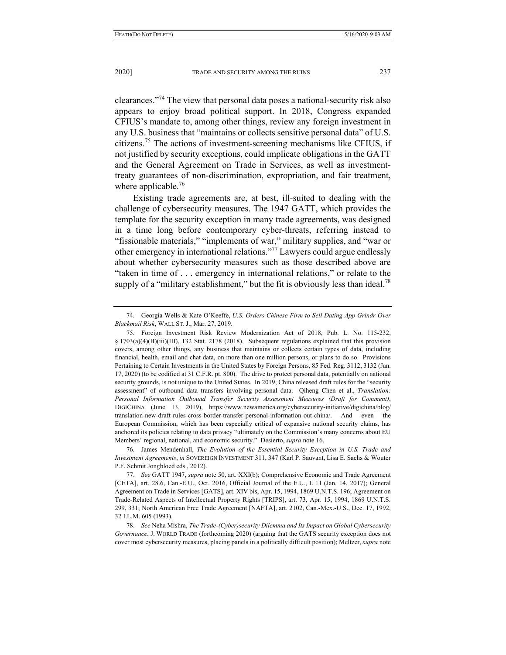clearances."74 The view that personal data poses a national-security risk also appears to enjoy broad political support. In 2018, Congress expanded CFIUS's mandate to, among other things, review any foreign investment in any U.S. business that "maintains or collects sensitive personal data" of U.S. citizens.75 The actions of investment-screening mechanisms like CFIUS, if not justified by security exceptions, could implicate obligations in the GATT and the General Agreement on Trade in Services, as well as investmenttreaty guarantees of non-discrimination, expropriation, and fair treatment, where applicable.<sup>76</sup>

Existing trade agreements are, at best, ill-suited to dealing with the challenge of cybersecurity measures. The 1947 GATT, which provides the template for the security exception in many trade agreements, was designed in a time long before contemporary cyber-threats, referring instead to "fissionable materials," "implements of war," military supplies, and "war or other emergency in international relations."77 Lawyers could argue endlessly about whether cybersecurity measures such as those described above are "taken in time of . . . emergency in international relations," or relate to the supply of a "military establishment," but the fit is obviously less than ideal.<sup>78</sup>

 <sup>74.</sup> Georgia Wells & Kate O'Keeffe, *U.S. Orders Chinese Firm to Sell Dating App Grindr Over Blackmail Risk*, WALL ST. J., Mar. 27, 2019.

 <sup>75.</sup> Foreign Investment Risk Review Modernization Act of 2018, Pub. L. No. 115-232, § 1703(a)(4)(B)(iii)(III), 132 Stat. 2178 (2018). Subsequent regulations explained that this provision covers, among other things, any business that maintains or collects certain types of data, including financial, health, email and chat data, on more than one million persons, or plans to do so. Provisions Pertaining to Certain Investments in the United States by Foreign Persons, 85 Fed. Reg. 3112, 3132 (Jan. 17, 2020) (to be codified at 31 C.F.R. pt. 800). The drive to protect personal data, potentially on national security grounds, is not unique to the United States. In 2019, China released draft rules for the "security assessment" of outbound data transfers involving personal data. Qiheng Chen et al., *Translation: Personal Information Outbound Transfer Security Assessment Measures (Draft for Comment)*, DIGICHINA (June 13, 2019), https://www.newamerica.org/cybersecurity-initiative/digichina/blog/ translation-new-draft-rules-cross-border-transfer-personal-information-out-china/. And even the European Commission, which has been especially critical of expansive national security claims, has anchored its policies relating to data privacy "ultimately on the Commission's many concerns about EU Members' regional, national, and economic security." Desierto, *supra* note 16.

 <sup>76.</sup> James Mendenhall, *The Evolution of the Essential Security Exception in U.S. Trade and Investment Agreements*, *in* SOVEREIGN INVESTMENT 311, 347 (Karl P. Sauvant, Lisa E. Sachs & Wouter P.F. Schmit Jongbloed eds., 2012).

 <sup>77.</sup> *See* GATT 1947, *supra* note 50, art. XXI(b); Comprehensive Economic and Trade Agreement [CETA], art. 28.6, Can.-E.U., Oct. 2016, Official Journal of the E.U., L 11 (Jan. 14, 2017); General Agreement on Trade in Services [GATS], art. XIV bis, Apr. 15, 1994, 1869 U.N.T.S. 196; Agreement on Trade-Related Aspects of Intellectual Property Rights [TRIPS], art. 73, Apr. 15, 1994, 1869 U.N.T.S. 299, 331; North American Free Trade Agreement [NAFTA], art. 2102, Can.-Mex.-U.S., Dec. 17, 1992, 32 I.L.M. 605 (1993).

 <sup>78.</sup> *See* Neha Mishra, *The Trade-(Cyber)security Dilemma and Its Impact on Global Cybersecurity Governance*, J. WORLD TRADE (forthcoming 2020) (arguing that the GATS security exception does not cover most cybersecurity measures, placing panels in a politically difficult position); Meltzer, *supra* note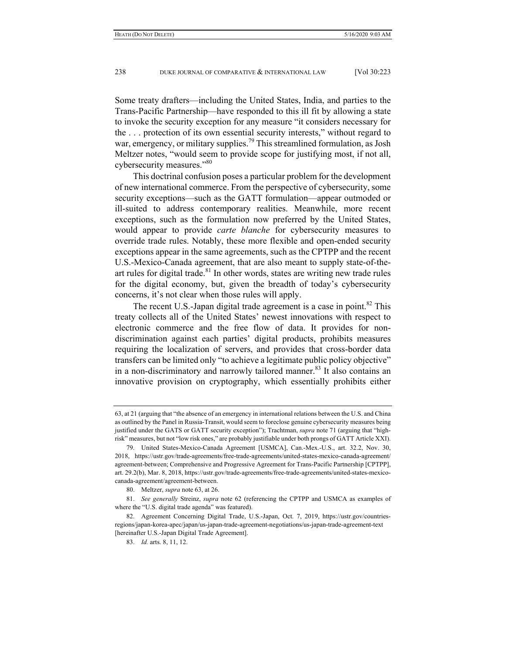Some treaty drafters—including the United States, India, and parties to the Trans-Pacific Partnership—have responded to this ill fit by allowing a state to invoke the security exception for any measure "it considers necessary for the . . . protection of its own essential security interests," without regard to war, emergency, or military supplies.<sup>79</sup> This streamlined formulation, as Josh Meltzer notes, "would seem to provide scope for justifying most, if not all, cybersecurity measures."<sup>80</sup>

This doctrinal confusion poses a particular problem for the development of new international commerce. From the perspective of cybersecurity, some security exceptions—such as the GATT formulation—appear outmoded or ill-suited to address contemporary realities. Meanwhile, more recent exceptions, such as the formulation now preferred by the United States, would appear to provide *carte blanche* for cybersecurity measures to override trade rules. Notably, these more flexible and open-ended security exceptions appear in the same agreements, such as the CPTPP and the recent U.S.-Mexico-Canada agreement, that are also meant to supply state-of-theart rules for digital trade.<sup>81</sup> In other words, states are writing new trade rules for the digital economy, but, given the breadth of today's cybersecurity concerns, it's not clear when those rules will apply.

The recent U.S.-Japan digital trade agreement is a case in point.<sup>82</sup> This treaty collects all of the United States' newest innovations with respect to electronic commerce and the free flow of data. It provides for nondiscrimination against each parties' digital products, prohibits measures requiring the localization of servers, and provides that cross-border data transfers can be limited only "to achieve a legitimate public policy objective" in a non-discriminatory and narrowly tailored manner.<sup>83</sup> It also contains an innovative provision on cryptography, which essentially prohibits either

<sup>63,</sup> at 21 (arguing that "the absence of an emergency in international relations between the U.S. and China as outlined by the Panel in Russia-Transit, would seem to foreclose genuine cybersecurity measures being justified under the GATS or GATT security exception"); Trachtman, *supra* note 71 (arguing that "highrisk" measures, but not "low risk ones," are probably justifiable under both prongs of GATT Article XXI).

 <sup>79.</sup> United States-Mexico-Canada Agreement [USMCA], Can.-Mex.-U.S., art. 32.2, Nov. 30, 2018, https://ustr.gov/trade-agreements/free-trade-agreements/united-states-mexico-canada-agreement/ agreement-between; Comprehensive and Progressive Agreement for Trans-Pacific Partnership [CPTPP], art. 29.2(b), Mar. 8, 2018, https://ustr.gov/trade-agreements/free-trade-agreements/united-states-mexicocanada-agreement/agreement-between.

 <sup>80.</sup> Meltzer, *supra* note 63, at 26.

 <sup>81.</sup> *See generally* Streinz, *supra* note 62 (referencing the CPTPP and USMCA as examples of where the "U.S. digital trade agenda" was featured).

 <sup>82.</sup> Agreement Concerning Digital Trade, U.S.-Japan, Oct. 7, 2019, https://ustr.gov/countriesregions/japan-korea-apec/japan/us-japan-trade-agreement-negotiations/us-japan-trade-agreement-text [hereinafter U.S.-Japan Digital Trade Agreement].

 <sup>83.</sup> *Id.* arts. 8, 11, 12.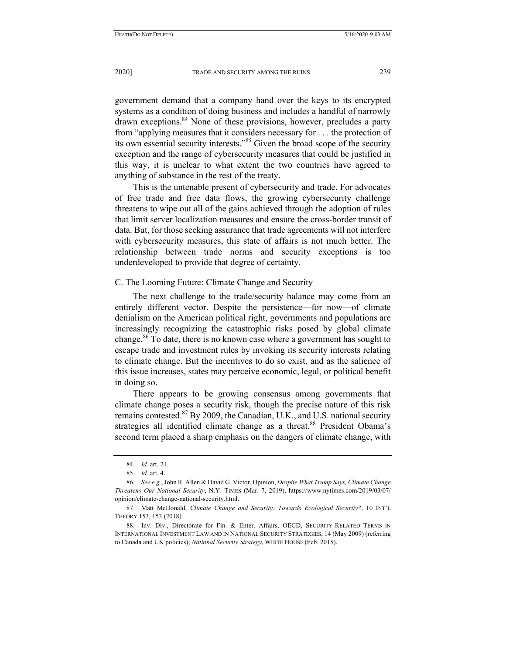government demand that a company hand over the keys to its encrypted systems as a condition of doing business and includes a handful of narrowly drawn exceptions.<sup>84</sup> None of these provisions, however, precludes a party from "applying measures that it considers necessary for . . . the protection of its own essential security interests."85 Given the broad scope of the security exception and the range of cybersecurity measures that could be justified in this way, it is unclear to what extent the two countries have agreed to anything of substance in the rest of the treaty.

This is the untenable present of cybersecurity and trade. For advocates of free trade and free data flows, the growing cybersecurity challenge threatens to wipe out all of the gains achieved through the adoption of rules that limit server localization measures and ensure the cross-border transit of data. But, for those seeking assurance that trade agreements will not interfere with cybersecurity measures, this state of affairs is not much better. The relationship between trade norms and security exceptions is too underdeveloped to provide that degree of certainty.

### C. The Looming Future: Climate Change and Security

The next challenge to the trade/security balance may come from an entirely different vector. Despite the persistence—for now—of climate denialism on the American political right, governments and populations are increasingly recognizing the catastrophic risks posed by global climate change.<sup>86</sup> To date, there is no known case where a government has sought to escape trade and investment rules by invoking its security interests relating to climate change. But the incentives to do so exist, and as the salience of this issue increases, states may perceive economic, legal, or political benefit in doing so.

There appears to be growing consensus among governments that climate change poses a security risk, though the precise nature of this risk remains contested.<sup>87</sup> By 2009, the Canadian, U.K., and U.S. national security strategies all identified climate change as a threat.<sup>88</sup> President Obama's second term placed a sharp emphasis on the dangers of climate change, with

 <sup>84.</sup> *Id.* art. 21.

 <sup>85.</sup> *Id.* art. 4.

 <sup>86.</sup> *See e.g.*, John R. Allen & David G. Victor, Opinion, *Despite What Trump Says, Climate Change Threatens Our National Security*, N.Y. TIMES (Mar. 7, 2019), https://www.nytimes.com/2019/03/07/ opinion/climate-change-national-security.html.

 <sup>87.</sup> Matt McDonald, *Climate Change and Security: Towards Ecological Security?*, 10 INT'L THEORY 153, 153 (2018).

 <sup>88.</sup> Inv. Div., Directorate for Fin. & Enter. Affairs, OECD, SECURITY-RELATED TERMS IN INTERNATIONAL INVESTMENT LAW AND IN NATIONAL SECURITY STRATEGIES, 14 (May 2009) (referring to Canada and UK policies); *National Security Strategy*, WHITE HOUSE (Feb. 2015).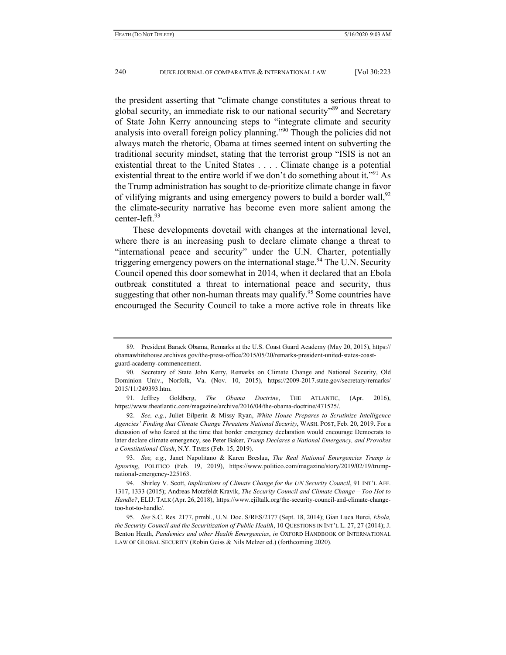the president asserting that "climate change constitutes a serious threat to global security, an immediate risk to our national security<sup>589</sup> and Secretary of State John Kerry announcing steps to "integrate climate and security analysis into overall foreign policy planning."<sup>90</sup> Though the policies did not always match the rhetoric, Obama at times seemed intent on subverting the traditional security mindset, stating that the terrorist group "ISIS is not an existential threat to the United States . . . . Climate change is a potential existential threat to the entire world if we don't do something about it."<sup>91</sup> As the Trump administration has sought to de-prioritize climate change in favor of vilifying migrants and using emergency powers to build a border wall,  $92$ the climate-security narrative has become even more salient among the center-left.<sup>93</sup>

These developments dovetail with changes at the international level, where there is an increasing push to declare climate change a threat to "international peace and security" under the U.N. Charter, potentially triggering emergency powers on the international stage.<sup>94</sup> The U.N. Security Council opened this door somewhat in 2014, when it declared that an Ebola outbreak constituted a threat to international peace and security, thus suggesting that other non-human threats may qualify.<sup>95</sup> Some countries have encouraged the Security Council to take a more active role in threats like

 91. Jeffrey Goldberg, *The Obama Doctrine*, THE ATLANTIC, (Apr. 2016), https://www.theatlantic.com/magazine/archive/2016/04/the-obama-doctrine/471525/.

 <sup>89.</sup> President Barack Obama, Remarks at the U.S. Coast Guard Academy (May 20, 2015), https:// obamawhitehouse.archives.gov/the-press-office/2015/05/20/remarks-president-united-states-coastguard-academy-commencement.

 <sup>90.</sup> Secretary of State John Kerry, Remarks on Climate Change and National Security, Old Dominion Univ., Norfolk, Va. (Nov. 10, 2015), https://2009-2017.state.gov/secretary/remarks/ 2015/11/249393.htm.

 <sup>92.</sup> *See, e.g.*, Juliet Eilperin & Missy Ryan, *White House Prepares to Scrutinize Intelligence Agencies' Finding that Climate Change Threatens National Security*, WASH. POST, Feb. 20, 2019. For a dicussion of who feared at the time that border emergency declaration would encourage Democrats to later declare climate emergency, see Peter Baker, *Trump Declares a National Emergency, and Provokes a Constitutional Clash*, N.Y. TIMES (Feb. 15, 2019).

 <sup>93.</sup> *See, e.g.*, Janet Napolitano & Karen Breslau, *The Real National Emergencies Trump is Ignoring*, POLITICO (Feb. 19, 2019), https://www.politico.com/magazine/story/2019/02/19/trumpnational-emergency-225163.

 <sup>94.</sup> Shirley V. Scott, *Implications of Climate Change for the UN Security Council*, 91 INT'L AFF. 1317, 1333 (2015); Andreas Motzfeldt Kravik, *The Security Council and Climate Change – Too Hot to Handle?*, ELIJ: TALK (Apr. 26, 2018), https://www.ejiltalk.org/the-security-council-and-climate-changetoo-hot-to-handle/.

 <sup>95.</sup> *See* S.C. Res. 2177, prmbl., U.N. Doc. S/RES/2177 (Sept. 18, 2014); Gian Luca Burci, *Ebola, the Security Council and the Securitization of Public Health*, 10 QUESTIONS IN INT'L L. 27, 27 (2014); J. Benton Heath, *Pandemics and other Health Emergencies*, *in* OXFORD HANDBOOK OF INTERNATIONAL LAW OF GLOBAL SECURITY (Robin Geiss & Nils Melzer ed.) (forthcoming 2020).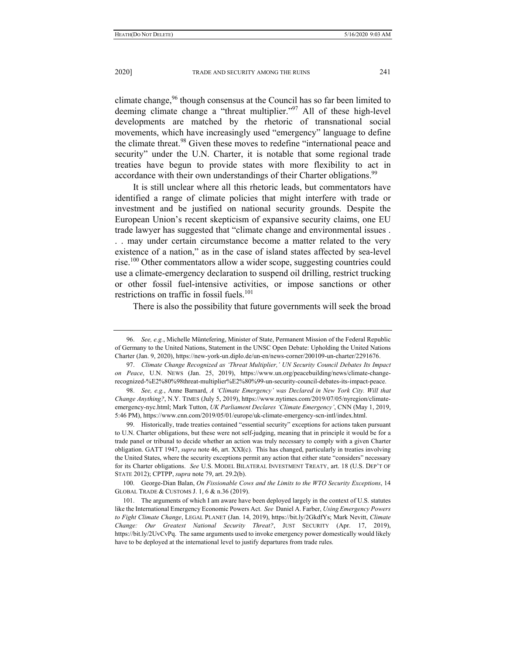climate change,<sup>96</sup> though consensus at the Council has so far been limited to deeming climate change a "threat multiplier."97 All of these high-level developments are matched by the rhetoric of transnational social movements, which have increasingly used "emergency" language to define the climate threat.<sup>98</sup> Given these moves to redefine "international peace and security" under the U.N. Charter, it is notable that some regional trade treaties have begun to provide states with more flexibility to act in accordance with their own understandings of their Charter obligations.<sup>99</sup>

It is still unclear where all this rhetoric leads, but commentators have identified a range of climate policies that might interfere with trade or investment and be justified on national security grounds. Despite the European Union's recent skepticism of expansive security claims, one EU trade lawyer has suggested that "climate change and environmental issues . . . may under certain circumstance become a matter related to the very existence of a nation," as in the case of island states affected by sea-level rise.<sup>100</sup> Other commentators allow a wider scope, suggesting countries could use a climate-emergency declaration to suspend oil drilling, restrict trucking or other fossil fuel-intensive activities, or impose sanctions or other restrictions on traffic in fossil fuels.<sup>101</sup>

There is also the possibility that future governments will seek the broad

 100. George-Dian Balan, *On Fissionable Cows and the Limits to the WTO Security Exceptions*, 14 GLOBAL TRADE & CUSTOMS J. 1, 6 & n.36 (2019).

 <sup>96.</sup> *See, e.g.*, Michelle Müntefering, Minister of State, Permanent Mission of the Federal Republic of Germany to the United Nations, Statement in the UNSC Open Debate: Upholding the United Nations Charter (Jan. 9, 2020), https://new-york-un.diplo.de/un-en/news-corner/200109-un-charter/2291676.

 <sup>97.</sup> *Climate Change Recognized as 'Threat Multiplier,' UN Security Council Debates Its Impact on Peace*, U.N. NEWS (Jan. 25, 2019), https://www.un.org/peacebuilding/news/climate-changerecognized-%E2%80%98threat-multiplier%E2%80%99-un-security-council-debates-its-impact-peace.

 <sup>98.</sup> *See, e.g.*, Anne Barnard, *A 'Climate Emergency' was Declared in New York City. Will that Change Anything?*, N.Y. TIMES (July 5, 2019), https://www.nytimes.com/2019/07/05/nyregion/climateemergency-nyc.html; Mark Tutton, *UK Parliament Declares 'Climate Emergency'*, CNN (May 1, 2019, 5:46 PM), https://www.cnn.com/2019/05/01/europe/uk-climate-emergency-scn-intl/index.html.

 <sup>99.</sup> Historically, trade treaties contained "essential security" exceptions for actions taken pursuant to U.N. Charter obligations, but these were not self-judging, meaning that in principle it would be for a trade panel or tribunal to decide whether an action was truly necessary to comply with a given Charter obligation. GATT 1947, *supra* note 46, art. XXI(c). This has changed, particularly in treaties involving the United States, where the security exceptions permit any action that either state "considers" necessary for its Charter obligations. *See* U.S. MODEL BILATERAL INVESTMENT TREATY, art. 18 (U.S. DEP'T OF STATE 2012); CPTPP, *supra* note 79, art. 29.2(b).

 <sup>101.</sup> The arguments of which I am aware have been deployed largely in the context of U.S. statutes like the International Emergency Economic Powers Act. *See* Daniel A. Farber, *Using Emergency Powers to Fight Climate Change*, LEGAL PLANET (Jan. 14, 2019), https://bit.ly/2GkdfYs; Mark Nevitt, *Climate Change: Our Greatest National Security Threat?*, JUST SECURITY (Apr. 17, 2019), https://bit.ly/2UvCvPq. The same arguments used to invoke emergency power domestically would likely have to be deployed at the international level to justify departures from trade rules.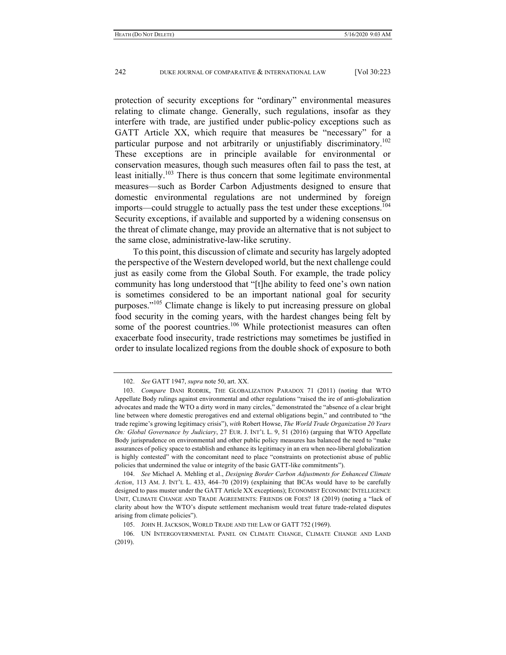protection of security exceptions for "ordinary" environmental measures relating to climate change. Generally, such regulations, insofar as they interfere with trade, are justified under public-policy exceptions such as GATT Article XX, which require that measures be "necessary" for a particular purpose and not arbitrarily or unjustifiably discriminatory.<sup>102</sup> These exceptions are in principle available for environmental or conservation measures, though such measures often fail to pass the test, at least initially.<sup>103</sup> There is thus concern that some legitimate environmental measures—such as Border Carbon Adjustments designed to ensure that domestic environmental regulations are not undermined by foreign imports—could struggle to actually pass the test under these exceptions.<sup>104</sup> Security exceptions, if available and supported by a widening consensus on the threat of climate change, may provide an alternative that is not subject to the same close, administrative-law-like scrutiny.

To this point, this discussion of climate and security has largely adopted the perspective of the Western developed world, but the next challenge could just as easily come from the Global South. For example, the trade policy community has long understood that "[t]he ability to feed one's own nation is sometimes considered to be an important national goal for security purposes."105 Climate change is likely to put increasing pressure on global food security in the coming years, with the hardest changes being felt by some of the poorest countries.<sup>106</sup> While protectionist measures can often exacerbate food insecurity, trade restrictions may sometimes be justified in order to insulate localized regions from the double shock of exposure to both

 <sup>102.</sup> *See* GATT 1947, *supra* note 50, art. XX.

 <sup>103.</sup> *Compare* DANI RODRIK, THE GLOBALIZATION PARADOX 71 (2011) (noting that WTO Appellate Body rulings against environmental and other regulations "raised the ire of anti-globalization advocates and made the WTO a dirty word in many circles," demonstrated the "absence of a clear bright line between where domestic prerogatives end and external obligations begin," and contributed to "the trade regime's growing legitimacy crisis"), *with* Robert Howse, *The World Trade Organization 20 Years On: Global Governance by Judiciary*, 27 EUR. J. INT'L L. 9, 51 (2016) (arguing that WTO Appellate Body jurisprudence on environmental and other public policy measures has balanced the need to "make assurances of policy space to establish and enhance its legitimacy in an era when neo-liberal globalization is highly contested" with the concomitant need to place "constraints on protectionist abuse of public policies that undermined the value or integrity of the basic GATT-like commitments").

 <sup>104.</sup> *See* Michael A. Mehling et al., *Designing Border Carbon Adjustments for Enhanced Climate Action*, 113 AM. J. INT'L L. 433, 464–70 (2019) (explaining that BCAs would have to be carefully designed to pass muster under the GATT Article XX exceptions); ECONOMIST ECONOMIC INTELLIGENCE UNIT, CLIMATE CHANGE AND TRADE AGREEMENTS: FRIENDS OR FOES? 18 (2019) (noting a "lack of clarity about how the WTO's dispute settlement mechanism would treat future trade-related disputes arising from climate policies").

 <sup>105.</sup> JOHN H. JACKSON, WORLD TRADE AND THE LAW OF GATT 752 (1969).

 <sup>106.</sup> UN INTERGOVERNMENTAL PANEL ON CLIMATE CHANGE, CLIMATE CHANGE AND LAND (2019).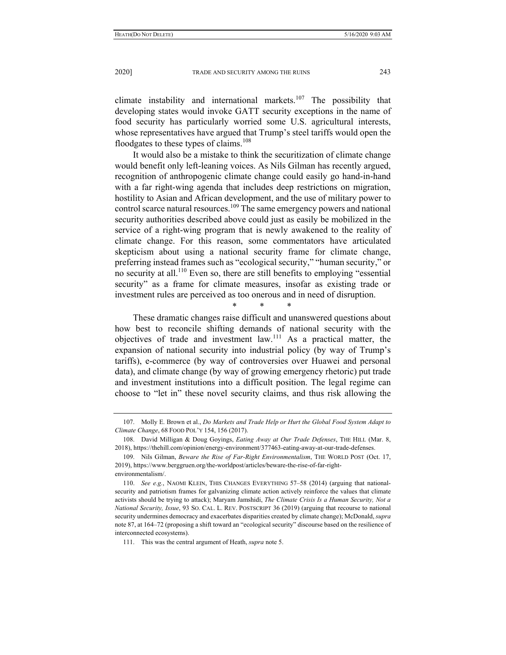climate instability and international markets.<sup>107</sup> The possibility that developing states would invoke GATT security exceptions in the name of food security has particularly worried some U.S. agricultural interests, whose representatives have argued that Trump's steel tariffs would open the floodgates to these types of claims.<sup>108</sup>

It would also be a mistake to think the securitization of climate change would benefit only left-leaning voices. As Nils Gilman has recently argued, recognition of anthropogenic climate change could easily go hand-in-hand with a far right-wing agenda that includes deep restrictions on migration, hostility to Asian and African development, and the use of military power to control scarce natural resources.<sup>109</sup> The same emergency powers and national security authorities described above could just as easily be mobilized in the service of a right-wing program that is newly awakened to the reality of climate change. For this reason, some commentators have articulated skepticism about using a national security frame for climate change, preferring instead frames such as "ecological security," "human security," or no security at all.110 Even so, there are still benefits to employing "essential security" as a frame for climate measures, insofar as existing trade or investment rules are perceived as too onerous and in need of disruption.

\* \* \*

These dramatic changes raise difficult and unanswered questions about how best to reconcile shifting demands of national security with the objectives of trade and investment law.111 As a practical matter, the expansion of national security into industrial policy (by way of Trump's tariffs), e-commerce (by way of controversies over Huawei and personal data), and climate change (by way of growing emergency rhetoric) put trade and investment institutions into a difficult position. The legal regime can choose to "let in" these novel security claims, and thus risk allowing the

 <sup>107.</sup> Molly E. Brown et al., *Do Markets and Trade Help or Hurt the Global Food System Adapt to Climate Change*, 68 FOOD POL'Y 154, 156 (2017).

 <sup>108.</sup> David Milligan & Doug Goyings, *Eating Away at Our Trade Defenses*, THE HILL (Mar. 8, 2018), https://thehill.com/opinion/energy-environment/377463-eating-away-at-our-trade-defenses.

 <sup>109.</sup> Nils Gilman, *Beware the Rise of Far-Right Environmentalism*, THE WORLD POST (Oct. 17, 2019), https://www.berggruen.org/the-worldpost/articles/beware-the-rise-of-far-rightenvironmentalism/.

 <sup>110.</sup> *See e.g.*, NAOMI KLEIN, THIS CHANGES EVERYTHING 57–58 (2014) (arguing that nationalsecurity and patriotism frames for galvanizing climate action actively reinforce the values that climate activists should be trying to attack); Maryam Jamshidi, *The Climate Crisis Is a Human Security, Not a National Security, Issue*, 93 SO. CAL. L. REV. POSTSCRIPT 36 (2019) (arguing that recourse to national security undermines democracy and exacerbates disparities created by climate change); McDonald, *supra* note 87, at 164–72 (proposing a shift toward an "ecological security" discourse based on the resilience of interconnected ecosystems).

 <sup>111.</sup> This was the central argument of Heath, *supra* note 5.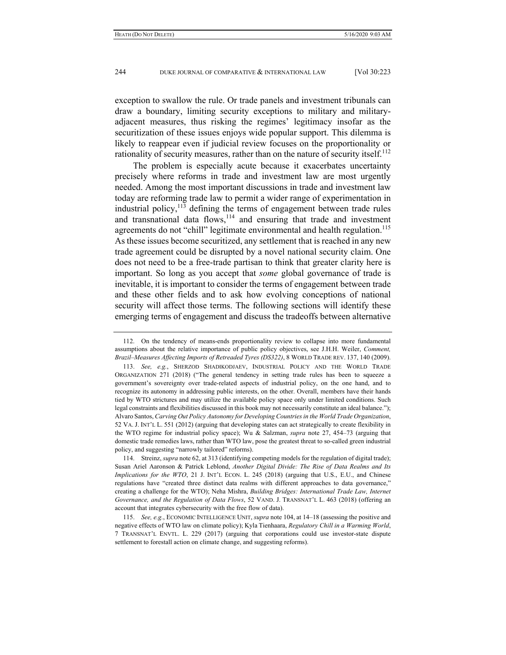exception to swallow the rule. Or trade panels and investment tribunals can draw a boundary, limiting security exceptions to military and militaryadjacent measures, thus risking the regimes' legitimacy insofar as the securitization of these issues enjoys wide popular support. This dilemma is likely to reappear even if judicial review focuses on the proportionality or rationality of security measures, rather than on the nature of security itself.<sup>112</sup>

The problem is especially acute because it exacerbates uncertainty precisely where reforms in trade and investment law are most urgently needed. Among the most important discussions in trade and investment law today are reforming trade law to permit a wider range of experimentation in industrial policy,  $113$  defining the terms of engagement between trade rules and transnational data flows, $114$  and ensuring that trade and investment agreements do not "chill" legitimate environmental and health regulation.<sup>115</sup> As these issues become securitized, any settlement that is reached in any new trade agreement could be disrupted by a novel national security claim. One does not need to be a free-trade partisan to think that greater clarity here is important. So long as you accept that *some* global governance of trade is inevitable, it is important to consider the terms of engagement between trade and these other fields and to ask how evolving conceptions of national security will affect those terms. The following sections will identify these emerging terms of engagement and discuss the tradeoffs between alternative

 114. Streinz, *supra* note 62, at 313 (identifying competing models for the regulation of digital trade); Susan Ariel Aaronson & Patrick Leblond, *Another Digital Divide: The Rise of Data Realms and Its Implications for the WTO*, 21 J. INT'L ECON. L. 245 (2018) (arguing that U.S., E.U., and Chinese regulations have "created three distinct data realms with different approaches to data governance," creating a challenge for the WTO); Neha Mishra, *Building Bridges: International Trade Law, Internet Governance, and the Regulation of Data Flows*, 52 VAND. J. TRANSNAT'L L. 463 (2018) (offering an account that integrates cybersecurity with the free flow of data).

 <sup>112.</sup> On the tendency of means-ends proportionality review to collapse into more fundamental assumptions about the relative importance of public policy objectives, see J.H.H. Weiler, *Comment, Brazil–Measures Affecting Imports of Retreaded Tyres (DS322)*, 8 WORLD TRADE REV. 137, 140 (2009).

 <sup>113.</sup> *See, e.g.*, SHERZOD SHADIKODJAEV, INDUSTRIAL POLICY AND THE WORLD TRADE ORGANIZATION 271 (2018) ("The general tendency in setting trade rules has been to squeeze a government's sovereignty over trade-related aspects of industrial policy, on the one hand, and to recognize its autonomy in addressing public interests, on the other. Overall, members have their hands tied by WTO strictures and may utilize the available policy space only under limited conditions. Such legal constraints and flexibilities discussed in this book may not necessarily constitute an ideal balance."); Alvaro Santos, *Carving Out Policy Autonomy for Developing Countries in the World Trade Organization*, 52 VA. J. INT'L L. 551 (2012) (arguing that developing states can act strategically to create flexibility in the WTO regime for industrial policy space); Wu & Salzman, *supra* note 27, 454–73 (arguing that domestic trade remedies laws, rather than WTO law, pose the greatest threat to so-called green industrial policy, and suggesting "narrowly tailored" reforms).

 <sup>115.</sup> *See, e.g.*, ECONOMIC INTELLIGENCE UNIT, *supra* note 104, at 14–18 (assessing the positive and negative effects of WTO law on climate policy); Kyla Tienhaara, *Regulatory Chill in a Warming World*, 7 TRANSNAT'L ENVTL. L. 229 (2017) (arguing that corporations could use investor-state dispute settlement to forestall action on climate change, and suggesting reforms).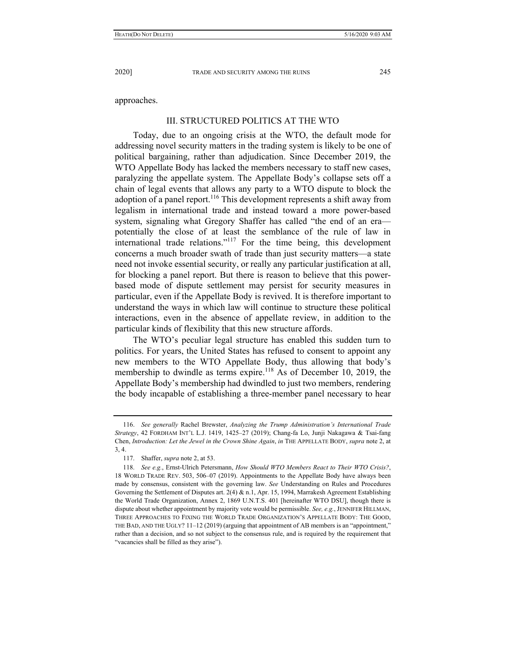approaches.

# III. STRUCTURED POLITICS AT THE WTO

Today, due to an ongoing crisis at the WTO, the default mode for addressing novel security matters in the trading system is likely to be one of political bargaining, rather than adjudication. Since December 2019, the WTO Appellate Body has lacked the members necessary to staff new cases, paralyzing the appellate system. The Appellate Body's collapse sets off a chain of legal events that allows any party to a WTO dispute to block the adoption of a panel report.<sup>116</sup> This development represents a shift away from legalism in international trade and instead toward a more power-based system, signaling what Gregory Shaffer has called "the end of an era potentially the close of at least the semblance of the rule of law in international trade relations."117 For the time being, this development concerns a much broader swath of trade than just security matters—a state need not invoke essential security, or really any particular justification at all, for blocking a panel report. But there is reason to believe that this powerbased mode of dispute settlement may persist for security measures in particular, even if the Appellate Body is revived. It is therefore important to understand the ways in which law will continue to structure these political interactions, even in the absence of appellate review, in addition to the particular kinds of flexibility that this new structure affords.

The WTO's peculiar legal structure has enabled this sudden turn to politics. For years, the United States has refused to consent to appoint any new members to the WTO Appellate Body, thus allowing that body's membership to dwindle as terms expire.<sup>118</sup> As of December 10, 2019, the Appellate Body's membership had dwindled to just two members, rendering the body incapable of establishing a three-member panel necessary to hear

 <sup>116.</sup> *See generally* Rachel Brewster, *Analyzing the Trump Administration's International Trade Strategy*, 42 FORDHAM INT'L L.J. 1419, 1425–27 (2019); Chang-fa Lo, Junji Nakagawa & Tsai-fang Chen, *Introduction: Let the Jewel in the Crown Shine Again*, *in* THE APPELLATE BODY, *supra* note 2, at 3, 4.

 <sup>117.</sup> Shaffer, *supra* note 2, at 53.

 <sup>118.</sup> *See e.g.*, Ernst-Ulrich Petersmann, *How Should WTO Members React to Their WTO Crisis?*, 18 WORLD TRADE REV. 503, 506–07 (2019). Appointments to the Appellate Body have always been made by consensus, consistent with the governing law. *See* Understanding on Rules and Procedures Governing the Settlement of Disputes art. 2(4) & n.1, Apr. 15, 1994, Marrakesh Agreement Establishing the World Trade Organization, Annex 2, 1869 U.N.T.S. 401 [hereinafter WTO DSU], though there is dispute about whether appointment by majority vote would be permissible. *See, e.g.*, JENNIFER HILLMAN, THREE APPROACHES TO FIXING THE WORLD TRADE ORGANIZATION'S APPELLATE BODY: THE GOOD, THE BAD, AND THE UGLY? 11–12 (2019) (arguing that appointment of AB members is an "appointment," rather than a decision, and so not subject to the consensus rule, and is required by the requirement that "vacancies shall be filled as they arise").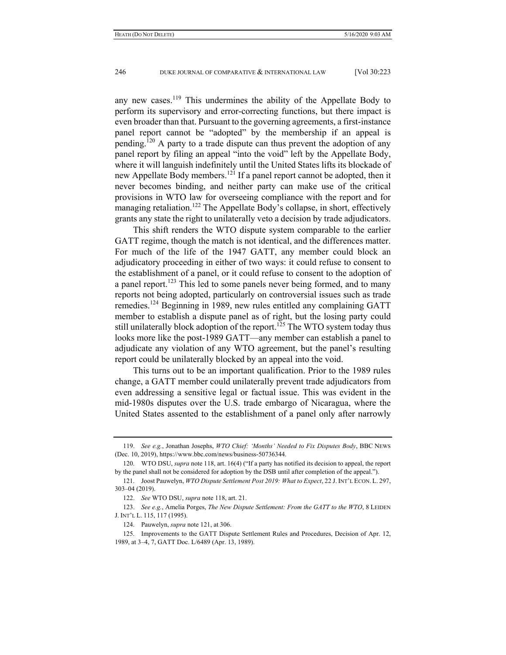any new cases.<sup>119</sup> This undermines the ability of the Appellate Body to perform its supervisory and error-correcting functions, but there impact is even broader than that. Pursuant to the governing agreements, a first-instance panel report cannot be "adopted" by the membership if an appeal is pending.<sup>120</sup> A party to a trade dispute can thus prevent the adoption of any panel report by filing an appeal "into the void" left by the Appellate Body, where it will languish indefinitely until the United States lifts its blockade of new Appellate Body members.121 If a panel report cannot be adopted, then it never becomes binding, and neither party can make use of the critical provisions in WTO law for overseeing compliance with the report and for managing retaliation.<sup>122</sup> The Appellate Body's collapse, in short, effectively grants any state the right to unilaterally veto a decision by trade adjudicators.

This shift renders the WTO dispute system comparable to the earlier GATT regime, though the match is not identical, and the differences matter. For much of the life of the 1947 GATT, any member could block an adjudicatory proceeding in either of two ways: it could refuse to consent to the establishment of a panel, or it could refuse to consent to the adoption of a panel report.<sup>123</sup> This led to some panels never being formed, and to many reports not being adopted, particularly on controversial issues such as trade remedies.124 Beginning in 1989, new rules entitled any complaining GATT member to establish a dispute panel as of right, but the losing party could still unilaterally block adoption of the report.<sup>125</sup> The WTO system today thus looks more like the post-1989 GATT—any member can establish a panel to adjudicate any violation of any WTO agreement, but the panel's resulting report could be unilaterally blocked by an appeal into the void.

This turns out to be an important qualification. Prior to the 1989 rules change, a GATT member could unilaterally prevent trade adjudicators from even addressing a sensitive legal or factual issue. This was evident in the mid-1980s disputes over the U.S. trade embargo of Nicaragua, where the United States assented to the establishment of a panel only after narrowly

 <sup>119.</sup> *See e.g.*, Jonathan Josephs, *WTO Chief: 'Months' Needed to Fix Disputes Body*, BBC NEWS (Dec. 10, 2019), https://www.bbc.com/news/business-50736344.

 <sup>120.</sup> WTO DSU, *supra* note 118, art. 16(4) ("If a party has notified its decision to appeal, the report by the panel shall not be considered for adoption by the DSB until after completion of the appeal.").

 <sup>121.</sup> Joost Pauwelyn, *WTO Dispute Settlement Post 2019: What to Expect*, 22 J. INT'L ECON. L. 297, 303–04 (2019).

 <sup>122.</sup> *See* WTO DSU, *supra* note 118, art. 21.

 <sup>123.</sup> *See e.g.*, Amelia Porges, *The New Dispute Settlement: From the GATT to the WTO*, 8 LEIDEN J. INT'L L. 115, 117 (1995).

 <sup>124.</sup> Pauwelyn, *supra* note 121, at 306.

 <sup>125.</sup> Improvements to the GATT Dispute Settlement Rules and Procedures, Decision of Apr. 12, 1989, at 3–4, 7, GATT Doc. L/6489 (Apr. 13, 1989).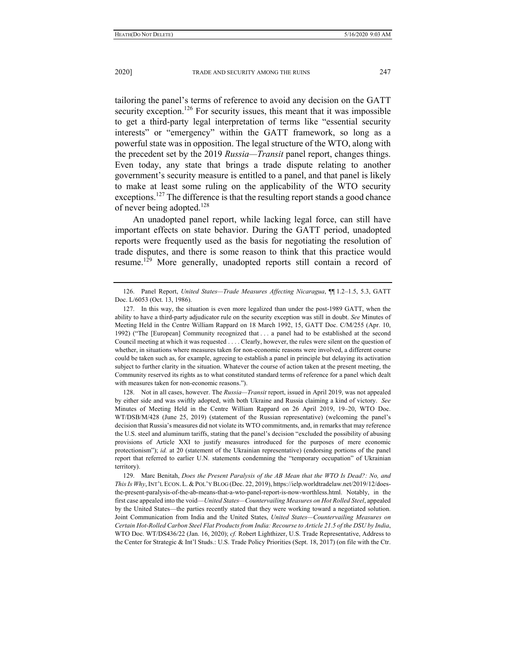tailoring the panel's terms of reference to avoid any decision on the GATT security exception.<sup>126</sup> For security issues, this meant that it was impossible to get a third-party legal interpretation of terms like "essential security interests" or "emergency" within the GATT framework, so long as a powerful state was in opposition. The legal structure of the WTO, along with the precedent set by the 2019 *Russia—Transit* panel report, changes things. Even today, any state that brings a trade dispute relating to another government's security measure is entitled to a panel, and that panel is likely to make at least some ruling on the applicability of the WTO security exceptions.<sup>127</sup> The difference is that the resulting report stands a good chance of never being adopted.<sup>128</sup>

An unadopted panel report, while lacking legal force, can still have important effects on state behavior. During the GATT period, unadopted reports were frequently used as the basis for negotiating the resolution of trade disputes, and there is some reason to think that this practice would resume.<sup>129</sup> More generally, unadopted reports still contain a record of

 128. Not in all cases, however. The *Russia—Transit* report, issued in April 2019, was not appealed by either side and was swiftly adopted, with both Ukraine and Russia claiming a kind of victory. *See*  Minutes of Meeting Held in the Centre William Rappard on 26 April 2019, 19–20, WTO Doc. WT/DSB/M/428 (June 25, 2019) (statement of the Russian representative) (welcoming the panel's decision that Russia's measures did not violate its WTO commitments, and, in remarks that may reference the U.S. steel and aluminum tariffs, stating that the panel's decision "excluded the possibility of abusing provisions of Article XXI to justify measures introduced for the purposes of mere economic protectionism"); *id.* at 20 (statement of the Ukrainian representative) (endorsing portions of the panel report that referred to earlier U.N. statements condemning the "temporary occupation" of Ukrainian territory).

 129. Marc Benitah, *Does the Present Paralysis of the AB Mean that the WTO Is Dead?: No, and This Is Why*, INT'L ECON. L. & POL'Y BLOG (Dec. 22, 2019), https://ielp.worldtradelaw.net/2019/12/doesthe-present-paralysis-of-the-ab-means-that-a-wto-panel-report-is-now-worthless.html. Notably, in the first case appealed into the void—*United States—Countervailing Measures on Hot Rolled Steel*, appealed by the United States—the parties recently stated that they were working toward a negotiated solution. Joint Communication from India and the United States, *United States—Countervailing Measures on Certain Hot-Rolled Carbon Steel Flat Products from India: Recourse to Article 21.5 of the DSU by India*, WTO Doc. WT/DS436/22 (Jan. 16, 2020); *cf.* Robert Lighthizer, U.S. Trade Representative, Address to the Center for Strategic & Int'l Studs.: U.S. Trade Policy Priorities (Sept. 18, 2017) (on file with the Ctr.

 <sup>126.</sup> Panel Report, *United States—Trade Measures Affecting Nicaragua*, ¶¶ 1.2–1.5, 5.3, GATT Doc. L/6053 (Oct. 13, 1986).

 <sup>127.</sup> In this way, the situation is even more legalized than under the post-1989 GATT, when the ability to have a third-party adjudicator rule on the security exception was still in doubt. *See* Minutes of Meeting Held in the Centre William Rappard on 18 March 1992, 15, GATT Doc. C/M/255 (Apr. 10, 1992) ("The [European] Community recognized that . . . a panel had to be established at the second Council meeting at which it was requested . . . . Clearly, however, the rules were silent on the question of whether, in situations where measures taken for non-economic reasons were involved, a different course could be taken such as, for example, agreeing to establish a panel in principle but delaying its activation subject to further clarity in the situation. Whatever the course of action taken at the present meeting, the Community reserved its rights as to what constituted standard terms of reference for a panel which dealt with measures taken for non-economic reasons.").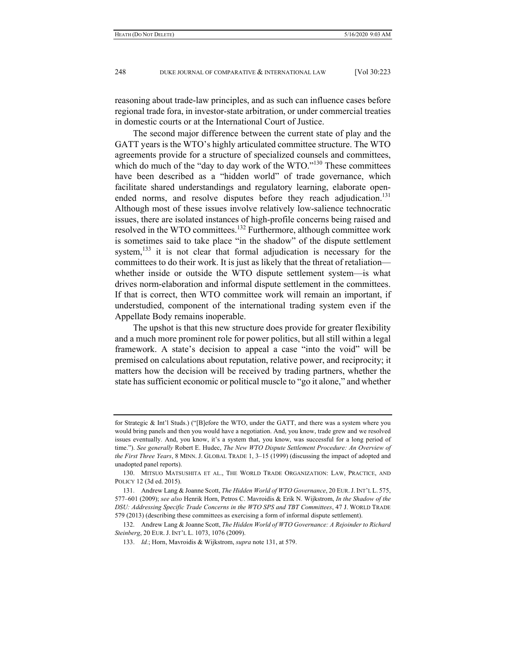reasoning about trade-law principles, and as such can influence cases before regional trade fora, in investor-state arbitration, or under commercial treaties in domestic courts or at the International Court of Justice.

The second major difference between the current state of play and the GATT years is the WTO's highly articulated committee structure. The WTO agreements provide for a structure of specialized counsels and committees, which do much of the "day to day work of the WTO."<sup>130</sup> These committees have been described as a "hidden world" of trade governance, which facilitate shared understandings and regulatory learning, elaborate openended norms, and resolve disputes before they reach adjudication.<sup>131</sup> Although most of these issues involve relatively low-salience technocratic issues, there are isolated instances of high-profile concerns being raised and resolved in the WTO committees.<sup>132</sup> Furthermore, although committee work is sometimes said to take place "in the shadow" of the dispute settlement system, $^{133}$  it is not clear that formal adjudication is necessary for the committees to do their work. It is just as likely that the threat of retaliation whether inside or outside the WTO dispute settlement system—is what drives norm-elaboration and informal dispute settlement in the committees. If that is correct, then WTO committee work will remain an important, if understudied, component of the international trading system even if the Appellate Body remains inoperable.

The upshot is that this new structure does provide for greater flexibility and a much more prominent role for power politics, but all still within a legal framework. A state's decision to appeal a case "into the void" will be premised on calculations about reputation, relative power, and reciprocity; it matters how the decision will be received by trading partners, whether the state has sufficient economic or political muscle to "go it alone," and whether

for Strategic & Int'l Studs.) ("[B]efore the WTO, under the GATT, and there was a system where you would bring panels and then you would have a negotiation. And, you know, trade grew and we resolved issues eventually. And, you know, it's a system that, you know, was successful for a long period of time."). *See generally* Robert E. Hudec, *The New WTO Dispute Settlement Procedure: An Overview of the First Three Years*, 8 MINN. J. GLOBAL TRADE 1, 3–15 (1999) (discussing the impact of adopted and unadopted panel reports).

 <sup>130.</sup> MITSUO MATSUSHITA ET AL., THE WORLD TRADE ORGANIZATION: LAW, PRACTICE, AND POLICY 12 (3d ed. 2015).

 <sup>131.</sup> Andrew Lang & Joanne Scott, *The Hidden World of WTO Governance*, 20 EUR.J. INT'L L. 575, 577–601 (2009); *see also* Henrik Horn, Petros C. Mavroidis & Erik N. Wijkstrom, *In the Shadow of the DSU: Addressing Specific Trade Concerns in the WTO SPS and TBT Committees*, 47 J. WORLD TRADE 579 (2013) (describing these committees as exercising a form of informal dispute settlement).

 <sup>132.</sup> Andrew Lang & Joanne Scott, *The Hidden World of WTO Governance: A Rejoinder to Richard Steinberg*, 20 EUR. J. INT'L L. 1073, 1076 (2009).

 <sup>133.</sup> *Id.*; Horn, Mavroidis & Wijkstrom, *supra* note 131, at 579.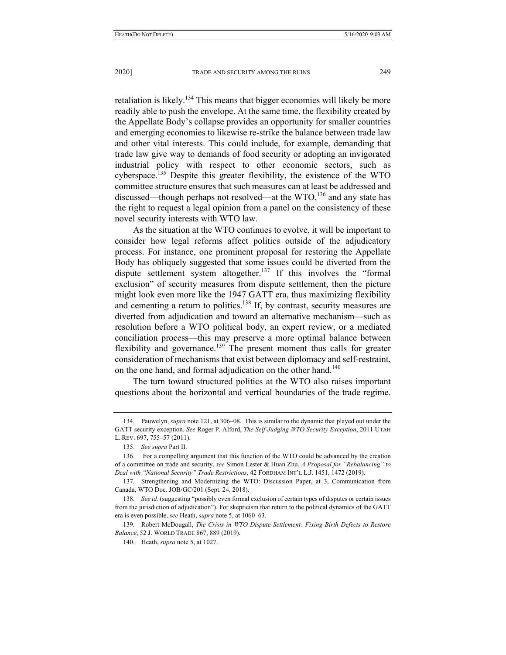retaliation is likely.134 This means that bigger economies will likely be more readily able to push the envelope. At the same time, the flexibility created by the Appellate Body's collapse provides an opportunity for smaller countries and emerging economies to likewise re-strike the balance between trade law and other vital interests. This could include, for example, demanding that trade law give way to demands of food security or adopting an invigorated industrial policy with respect to other economic sectors, such as cyberspace.135 Despite this greater flexibility, the existence of the WTO committee structure ensures that such measures can at least be addressed and discussed—though perhaps not resolved—at the  $WTO<sub>136</sub>$  and any state has the right to request a legal opinion from a panel on the consistency of these novel security interests with WTO law.

As the situation at the WTO continues to evolve, it will be important to consider how legal reforms affect politics outside of the adjudicatory process. For instance, one prominent proposal for restoring the Appellate Body has obliquely suggested that some issues could be diverted from the dispute settlement system altogether.<sup>137</sup> If this involves the "formal" exclusion" of security measures from dispute settlement, then the picture might look even more like the 1947 GATT era, thus maximizing flexibility and cementing a return to politics.<sup>138</sup> If, by contrast, security measures are diverted from adjudication and toward an alternative mechanism—such as resolution before a WTO political body, an expert review, or a mediated conciliation process—this may preserve a more optimal balance between flexibility and governance.<sup>139</sup> The present moment thus calls for greater consideration of mechanisms that exist between diplomacy and self-restraint, on the one hand, and formal adjudication on the other hand.<sup>140</sup>

The turn toward structured politics at the WTO also raises important questions about the horizontal and vertical boundaries of the trade regime.

 <sup>134.</sup> Pauwelyn, *supra* note 121, at 306–08. This is similar to the dynamic that played out under the GATT security exception. *See* Roger P. Alford, *The Self-Judging WTO Security Exception*, 2011 UTAH L. REV. 697, 755–57 (2011).

 <sup>135.</sup> *See supra* Part II.

 <sup>136.</sup> For a compelling argument that this function of the WTO could be advanced by the creation of a committee on trade and security, *see* Simon Lester & Huan Zhu, *A Proposal for "Rebalancing" to Deal with "National Security" Trade Restrictions*, 42 FORDHAM INT'L L.J. 1451, 1472 (2019).

 <sup>137.</sup> Strengthening and Modernizing the WTO: Discussion Paper, at 3, Communication from Canada, WTO Doc. JOB/GC/201 (Sept. 24, 2018).

 <sup>138.</sup> *See id.* (suggesting "possibly even formal exclusion of certain types of disputes or certain issues from the jurisdiction of adjudication"). For skepticism that return to the political dynamics of the GATT era is even possible, *see* Heath, *supra* note 5, at 1060–63.

 <sup>139.</sup> Robert McDougall, *The Crisis in WTO Dispute Settlement: Fixing Birth Defects to Restore Balance*, 52 J. WORLD TRADE 867, 889 (2019).

 <sup>140.</sup> Heath, *supra* note 5, at 1027.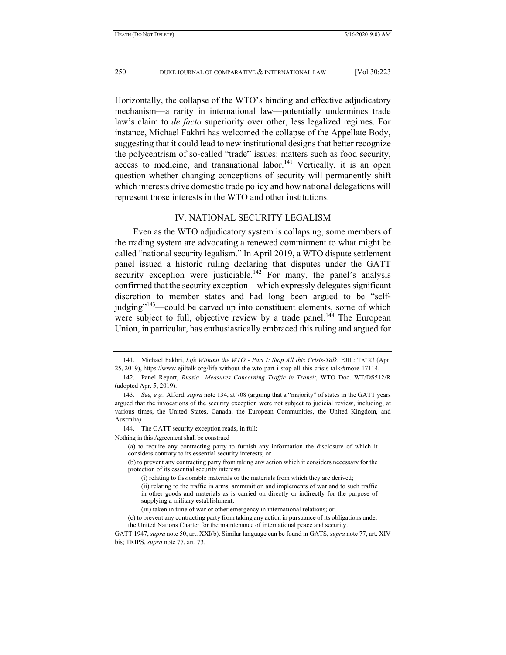Horizontally, the collapse of the WTO's binding and effective adjudicatory mechanism—a rarity in international law—potentially undermines trade law's claim to *de facto* superiority over other, less legalized regimes. For instance, Michael Fakhri has welcomed the collapse of the Appellate Body, suggesting that it could lead to new institutional designs that better recognize the polycentrism of so-called "trade" issues: matters such as food security, access to medicine, and transnational labor.<sup>141</sup> Vertically, it is an open question whether changing conceptions of security will permanently shift which interests drive domestic trade policy and how national delegations will represent those interests in the WTO and other institutions.

# IV. NATIONAL SECURITY LEGALISM

Even as the WTO adjudicatory system is collapsing, some members of the trading system are advocating a renewed commitment to what might be called "national security legalism." In April 2019, a WTO dispute settlement panel issued a historic ruling declaring that disputes under the GATT security exception were justiciable.<sup>142</sup> For many, the panel's analysis confirmed that the security exception—which expressly delegates significant discretion to member states and had long been argued to be "selfjudging $\frac{143}{2}$  could be carved up into constituent elements, some of which were subject to full, objective review by a trade panel.<sup>144</sup> The European Union, in particular, has enthusiastically embraced this ruling and argued for

Nothing in this Agreement shall be construed

 <sup>141.</sup> Michael Fakhri, *Life Without the WTO - Part I: Stop All this Crisis-Talk*, EJIL: TALK! (Apr. 25, 2019), https://www.ejiltalk.org/life-without-the-wto-part-i-stop-all-this-crisis-talk/#more-17114.

 <sup>142.</sup> Panel Report, *Russia—Measures Concerning Traffic in Transit*, WTO Doc. WT/DS512/R (adopted Apr. 5, 2019).

 <sup>143.</sup> *See, e.g.*, Alford, *supra* note 134, at 708 (arguing that a "majority" of states in the GATT years argued that the invocations of the security exception were not subject to judicial review, including, at various times, the United States, Canada, the European Communities, the United Kingdom, and Australia).

 <sup>144.</sup> The GATT security exception reads, in full:

<sup>(</sup>a) to require any contracting party to furnish any information the disclosure of which it considers contrary to its essential security interests; or

<sup>(</sup>b) to prevent any contracting party from taking any action which it considers necessary for the protection of its essential security interests

<sup>(</sup>i) relating to fissionable materials or the materials from which they are derived;

<sup>(</sup>ii) relating to the traffic in arms, ammunition and implements of war and to such traffic in other goods and materials as is carried on directly or indirectly for the purpose of supplying a military establishment;

<sup>(</sup>iii) taken in time of war or other emergency in international relations; or

<sup>(</sup>c) to prevent any contracting party from taking any action in pursuance of its obligations under the United Nations Charter for the maintenance of international peace and security.

GATT 1947, *supra* note 50, art. XXI(b). Similar language can be found in GATS, *supra* note 77, art. XIV bis; TRIPS, *supra* note 77, art. 73.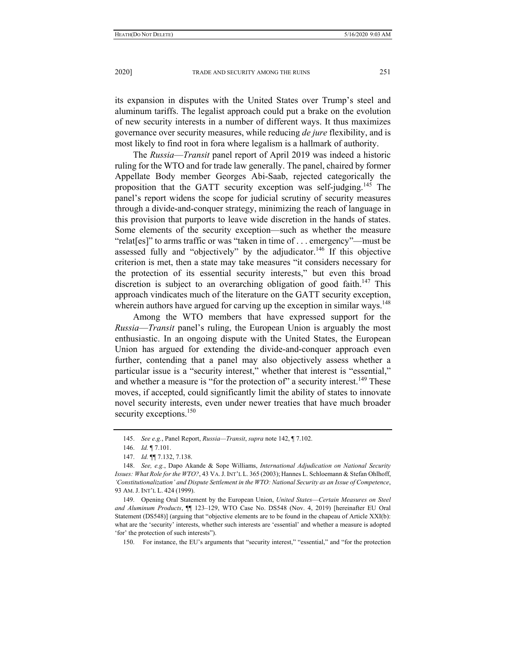its expansion in disputes with the United States over Trump's steel and aluminum tariffs. The legalist approach could put a brake on the evolution of new security interests in a number of different ways. It thus maximizes governance over security measures, while reducing *de jure* flexibility, and is most likely to find root in fora where legalism is a hallmark of authority.

The *Russia*—*Transit* panel report of April 2019 was indeed a historic ruling for the WTO and for trade law generally. The panel, chaired by former Appellate Body member Georges Abi-Saab, rejected categorically the proposition that the GATT security exception was self-judging.<sup>145</sup> The panel's report widens the scope for judicial scrutiny of security measures through a divide-and-conquer strategy, minimizing the reach of language in this provision that purports to leave wide discretion in the hands of states. Some elements of the security exception—such as whether the measure "relat[es]" to arms traffic or was "taken in time of . . . emergency"—must be assessed fully and "objectively" by the adjudicator.<sup>146</sup> If this objective criterion is met, then a state may take measures "it considers necessary for the protection of its essential security interests," but even this broad discretion is subject to an overarching obligation of good faith.<sup>147</sup> This approach vindicates much of the literature on the GATT security exception, wherein authors have argued for carving up the exception in similar ways.<sup>148</sup>

Among the WTO members that have expressed support for the *Russia*—*Transit* panel's ruling, the European Union is arguably the most enthusiastic. In an ongoing dispute with the United States, the European Union has argued for extending the divide-and-conquer approach even further, contending that a panel may also objectively assess whether a particular issue is a "security interest," whether that interest is "essential," and whether a measure is "for the protection of" a security interest.<sup>149</sup> These moves, if accepted, could significantly limit the ability of states to innovate novel security interests, even under newer treaties that have much broader security exceptions.<sup>150</sup>

 149. Opening Oral Statement by the European Union, *United States*—*Certain Measures on Steel and Aluminum Products*, ¶¶ 123–129, WTO Case No. DS548 (Nov. 4, 2019) [hereinafter EU Oral Statement (DS548)] (arguing that "objective elements are to be found in the chapeau of Article XXI(b): what are the 'security' interests, whether such interests are 'essential' and whether a measure is adopted 'for' the protection of such interests").

150. For instance, the EU's arguments that "security interest," "essential," and "for the protection

 <sup>145.</sup> *See e.g.*, Panel Report, *Russia—Transit*, *supra* note 142, ¶ 7.102.

 <sup>146.</sup> *Id.* ¶ 7.101.

 <sup>147.</sup> *Id.* ¶¶ 7.132, 7.138.

 <sup>148.</sup> *See, e.g.*, Dapo Akande & Sope Williams, *International Adjudication on National Security Issues: What Role for the WTO?*, 43 VA.J. INT'L L. 365 (2003); Hannes L. Schloemann & Stefan Ohlhoff, *'Constitutionalization' and Dispute Settlement in the WTO: National Security as an Issue of Competence*, 93 AM. J. INT'L L. 424 (1999).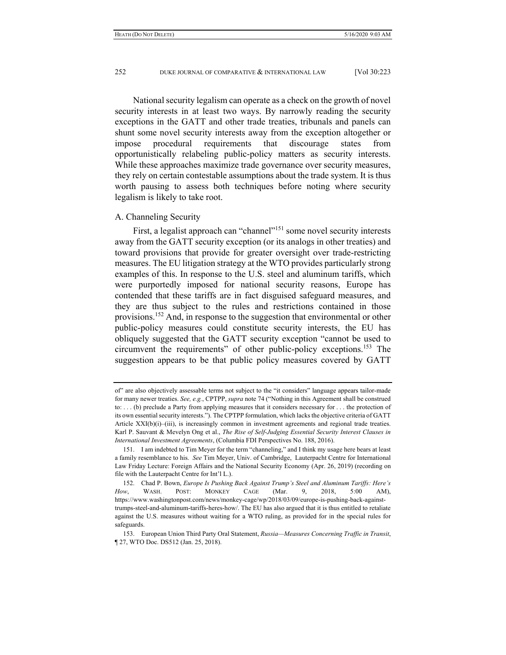National security legalism can operate as a check on the growth of novel security interests in at least two ways. By narrowly reading the security exceptions in the GATT and other trade treaties, tribunals and panels can shunt some novel security interests away from the exception altogether or impose procedural requirements that discourage states from opportunistically relabeling public-policy matters as security interests. While these approaches maximize trade governance over security measures, they rely on certain contestable assumptions about the trade system. It is thus worth pausing to assess both techniques before noting where security legalism is likely to take root.

### A. Channeling Security

First, a legalist approach can "channel"<sup>151</sup> some novel security interests away from the GATT security exception (or its analogs in other treaties) and toward provisions that provide for greater oversight over trade-restricting measures. The EU litigation strategy at the WTO provides particularly strong examples of this. In response to the U.S. steel and aluminum tariffs, which were purportedly imposed for national security reasons, Europe has contended that these tariffs are in fact disguised safeguard measures, and they are thus subject to the rules and restrictions contained in those provisions.<sup>152</sup> And, in response to the suggestion that environmental or other public-policy measures could constitute security interests, the EU has obliquely suggested that the GATT security exception "cannot be used to circumvent the requirements" of other public-policy exceptions.153 The suggestion appears to be that public policy measures covered by GATT

of" are also objectively assessable terms not subject to the "it considers" language appears tailor-made for many newer treaties. *See, e.g.*, CPTPP, *supra* note 74 ("Nothing in this Agreement shall be construed to: . . . (b) preclude a Party from applying measures that it considers necessary for . . . the protection of its own essential security interests."). The CPTPP formulation, which lacks the objective criteria of GATT Article XXI(b)(i)–(iii), is increasingly common in investment agreements and regional trade treaties. Karl P. Sauvant & Mevelyn Ong et al., *The Rise of Self-Judging Essential Security Interest Clauses in International Investment Agreements*, (Columbia FDI Perspectives No. 188, 2016).

 <sup>151.</sup> I am indebted to Tim Meyer for the term "channeling," and I think my usage here bears at least a family resemblance to his. *See* Tim Meyer, Univ. of Cambridge, Lauterpacht Centre for International Law Friday Lecture: Foreign Affairs and the National Security Economy (Apr. 26, 2019) (recording on file with the Lauterpacht Centre for Int'l L.).

 <sup>152.</sup> Chad P. Bown, *Europe Is Pushing Back Against Trump's Steel and Aluminum Tariffs: Here's How*, WASH. POST: MONKEY CAGE (Mar. 9, 2018, 5:00 AM), https://www.washingtonpost.com/news/monkey-cage/wp/2018/03/09/europe-is-pushing-back-againsttrumps-steel-and-aluminum-tariffs-heres-how/. The EU has also argued that it is thus entitled to retaliate against the U.S. measures without waiting for a WTO ruling, as provided for in the special rules for safeguards.

 <sup>153.</sup> European Union Third Party Oral Statement, *Russia—Measures Concerning Traffic in Transit*, ¶ 27, WTO Doc. DS512 (Jan. 25, 2018).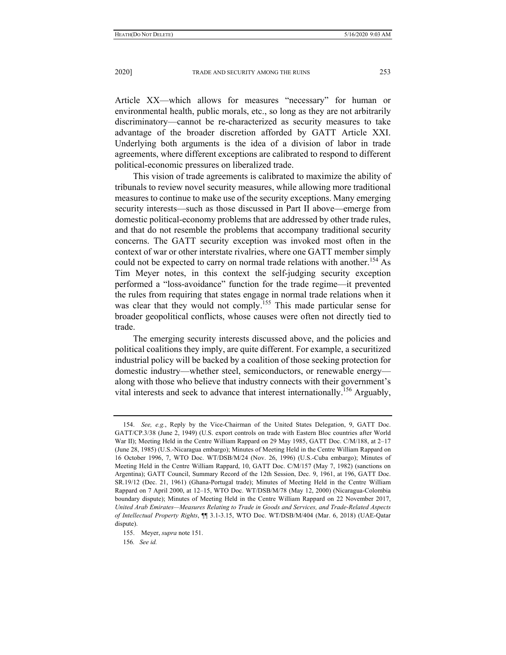Article XX—which allows for measures "necessary" for human or environmental health, public morals, etc., so long as they are not arbitrarily discriminatory—cannot be re-characterized as security measures to take advantage of the broader discretion afforded by GATT Article XXI. Underlying both arguments is the idea of a division of labor in trade agreements, where different exceptions are calibrated to respond to different political-economic pressures on liberalized trade.

This vision of trade agreements is calibrated to maximize the ability of tribunals to review novel security measures, while allowing more traditional measures to continue to make use of the security exceptions. Many emerging security interests—such as those discussed in Part II above—emerge from domestic political-economy problems that are addressed by other trade rules, and that do not resemble the problems that accompany traditional security concerns. The GATT security exception was invoked most often in the context of war or other interstate rivalries, where one GATT member simply could not be expected to carry on normal trade relations with another.<sup>154</sup> As Tim Meyer notes, in this context the self-judging security exception performed a "loss-avoidance" function for the trade regime—it prevented the rules from requiring that states engage in normal trade relations when it was clear that they would not comply.<sup>155</sup> This made particular sense for broader geopolitical conflicts, whose causes were often not directly tied to trade.

The emerging security interests discussed above, and the policies and political coalitions they imply, are quite different. For example, a securitized industrial policy will be backed by a coalition of those seeking protection for domestic industry—whether steel, semiconductors, or renewable energy along with those who believe that industry connects with their government's vital interests and seek to advance that interest internationally.156 Arguably,

 <sup>154.</sup> *See, e.g.*, Reply by the Vice-Chairman of the United States Delegation, 9, GATT Doc. GATT/CP.3/38 (June 2, 1949) (U.S. export controls on trade with Eastern Bloc countries after World War II); Meeting Held in the Centre William Rappard on 29 May 1985, GATT Doc. C/M/188, at 2-17 (June 28, 1985) (U.S.-Nicaragua embargo); Minutes of Meeting Held in the Centre William Rappard on 16 October 1996, 7, WTO Doc. WT/DSB/M/24 (Nov. 26, 1996) (U.S.-Cuba embargo); Minutes of Meeting Held in the Centre William Rappard, 10, GATT Doc. C/M/157 (May 7, 1982) (sanctions on Argentina); GATT Council, Summary Record of the 12th Session, Dec. 9, 1961, at 196, GATT Doc. SR.19/12 (Dec. 21, 1961) (Ghana-Portugal trade); Minutes of Meeting Held in the Centre William Rappard on 7 April 2000, at 12–15, WTO Doc. WT/DSB/M/78 (May 12, 2000) (Nicaragua-Colombia boundary dispute); Minutes of Meeting Held in the Centre William Rappard on 22 November 2017, *United Arab Emirates—Measures Relating to Trade in Goods and Services, and Trade-Related Aspects of Intellectual Property Rights*, ¶¶ 3.1-3.15, WTO Doc. WT/DSB/M/404 (Mar. 6, 2018) (UAE-Qatar dispute).

 <sup>155.</sup> Meyer, *supra* note 151.

<sup>156</sup>*. See id.*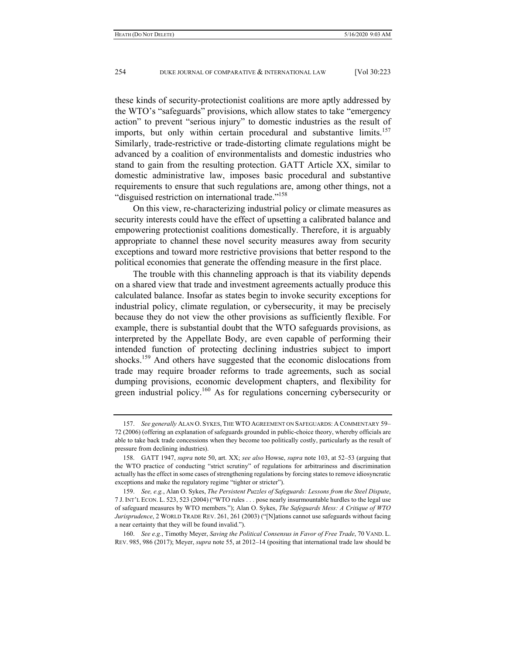these kinds of security-protectionist coalitions are more aptly addressed by the WTO's "safeguards" provisions, which allow states to take "emergency action" to prevent "serious injury" to domestic industries as the result of imports, but only within certain procedural and substantive limits.<sup>157</sup> Similarly, trade-restrictive or trade-distorting climate regulations might be advanced by a coalition of environmentalists and domestic industries who stand to gain from the resulting protection. GATT Article XX, similar to domestic administrative law, imposes basic procedural and substantive requirements to ensure that such regulations are, among other things, not a "disguised restriction on international trade."<sup>158</sup>

On this view, re-characterizing industrial policy or climate measures as security interests could have the effect of upsetting a calibrated balance and empowering protectionist coalitions domestically. Therefore, it is arguably appropriate to channel these novel security measures away from security exceptions and toward more restrictive provisions that better respond to the political economies that generate the offending measure in the first place.

The trouble with this channeling approach is that its viability depends on a shared view that trade and investment agreements actually produce this calculated balance. Insofar as states begin to invoke security exceptions for industrial policy, climate regulation, or cybersecurity, it may be precisely because they do not view the other provisions as sufficiently flexible. For example, there is substantial doubt that the WTO safeguards provisions, as interpreted by the Appellate Body, are even capable of performing their intended function of protecting declining industries subject to import shocks.<sup>159</sup> And others have suggested that the economic dislocations from trade may require broader reforms to trade agreements, such as social dumping provisions, economic development chapters, and flexibility for green industrial policy.<sup>160</sup> As for regulations concerning cybersecurity or

 <sup>157.</sup> *See generally* ALAN O. SYKES, THE WTO AGREEMENT ON SAFEGUARDS: A COMMENTARY 59– 72 (2006) (offering an explanation of safeguards grounded in public-choice theory, whereby officials are able to take back trade concessions when they become too politically costly, particularly as the result of pressure from declining industries).

 <sup>158.</sup> GATT 1947, *supra* note 50, art. XX; *see also* Howse, *supra* note 103, at 52–53 (arguing that the WTO practice of conducting "strict scrutiny" of regulations for arbitrariness and discrimination actually has the effect in some cases of strengthening regulations by forcing states to remove idiosyncratic exceptions and make the regulatory regime "tighter or stricter").

 <sup>159.</sup> *See, e.g.*, Alan O. Sykes, *The Persistent Puzzles of Safeguards: Lessons from the Steel Dispute*, 7 J. INT'L ECON. L. 523, 523 (2004) ("WTO rules . . . pose nearly insurmountable hurdles to the legal use of safeguard measures by WTO members."); Alan O. Sykes, *The Safeguards Mess: A Critique of WTO Jurisprudence*, 2 WORLD TRADE REV. 261, 261 (2003) ("[N]ations cannot use safeguards without facing a near certainty that they will be found invalid.").

 <sup>160.</sup> *See e.g.*, Timothy Meyer, *Saving the Political Consensus in Favor of Free Trade*, 70 VAND. L. REV. 985, 986 (2017); Meyer, *supra* note 55, at 2012–14 (positing that international trade law should be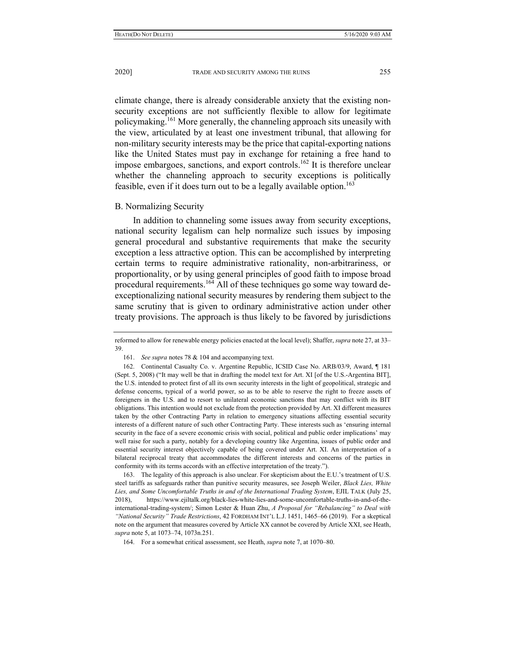climate change, there is already considerable anxiety that the existing nonsecurity exceptions are not sufficiently flexible to allow for legitimate policymaking.161 More generally, the channeling approach sits uneasily with the view, articulated by at least one investment tribunal, that allowing for non-military security interests may be the price that capital-exporting nations like the United States must pay in exchange for retaining a free hand to impose embargoes, sanctions, and export controls.<sup>162</sup> It is therefore unclear whether the channeling approach to security exceptions is politically feasible, even if it does turn out to be a legally available option.<sup>163</sup>

#### B. Normalizing Security

In addition to channeling some issues away from security exceptions, national security legalism can help normalize such issues by imposing general procedural and substantive requirements that make the security exception a less attractive option. This can be accomplished by interpreting certain terms to require administrative rationality, non-arbitrariness, or proportionality, or by using general principles of good faith to impose broad procedural requirements.<sup>164</sup> All of these techniques go some way toward deexceptionalizing national security measures by rendering them subject to the same scrutiny that is given to ordinary administrative action under other treaty provisions. The approach is thus likely to be favored by jurisdictions

 163. The legality of this approach is also unclear. For skepticism about the E.U.'s treatment of U.S. steel tariffs as safeguards rather than punitive security measures, see Joseph Weiler, *Black Lies, White Lies, and Some Uncomfortable Truths in and of the International Trading System*, EJIL TALK (July 25, 2018), https://www.ejiltalk.org/black-lies-white-lies-and-some-uncomfortable-truths-in-and-of-theinternational-trading-system/; Simon Lester & Huan Zhu, *A Proposal for "Rebalancing" to Deal with "National Security" Trade Restrictions*, 42 FORDHAM INT'L L.J. 1451, 1465–66 (2019). For a skeptical note on the argument that measures covered by Article XX cannot be covered by Article XXI, see Heath, *supra* note 5, at 1073–74, 1073n.251.

reformed to allow for renewable energy policies enacted at the local level); Shaffer, *supra* note 27, at 33– 39.

 <sup>161.</sup> *See supra* notes 78 & 104 and accompanying text.

 <sup>162.</sup> Continental Casualty Co. v. Argentine Republic, ICSID Case No. ARB/03/9, Award, ¶ 181 (Sept. 5, 2008) ("It may well be that in drafting the model text for Art. XI [of the U.S.-Argentina BIT], the U.S. intended to protect first of all its own security interests in the light of geopolitical, strategic and defense concerns, typical of a world power, so as to be able to reserve the right to freeze assets of foreigners in the U.S. and to resort to unilateral economic sanctions that may conflict with its BIT obligations. This intention would not exclude from the protection provided by Art. XI different measures taken by the other Contracting Party in relation to emergency situations affecting essential security interests of a different nature of such other Contracting Party. These interests such as 'ensuring internal security in the face of a severe economic crisis with social, political and public order implications' may well raise for such a party, notably for a developing country like Argentina, issues of public order and essential security interest objectively capable of being covered under Art. XI. An interpretation of a bilateral reciprocal treaty that accommodates the different interests and concerns of the parties in conformity with its terms accords with an effective interpretation of the treaty.").

 <sup>164.</sup> For a somewhat critical assessment, see Heath, *supra* note 7, at 1070–80.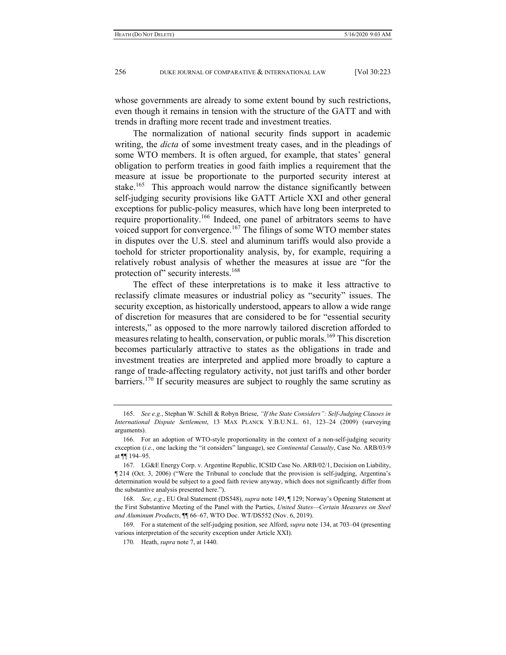whose governments are already to some extent bound by such restrictions, even though it remains in tension with the structure of the GATT and with trends in drafting more recent trade and investment treaties.

The normalization of national security finds support in academic writing, the *dicta* of some investment treaty cases, and in the pleadings of some WTO members. It is often argued, for example, that states' general obligation to perform treaties in good faith implies a requirement that the measure at issue be proportionate to the purported security interest at stake.<sup>165</sup> This approach would narrow the distance significantly between self-judging security provisions like GATT Article XXI and other general exceptions for public-policy measures, which have long been interpreted to require proportionality.<sup>166</sup> Indeed, one panel of arbitrators seems to have voiced support for convergence.<sup>167</sup> The filings of some WTO member states in disputes over the U.S. steel and aluminum tariffs would also provide a toehold for stricter proportionality analysis, by, for example, requiring a relatively robust analysis of whether the measures at issue are "for the protection of" security interests.<sup>168</sup>

The effect of these interpretations is to make it less attractive to reclassify climate measures or industrial policy as "security" issues. The security exception, as historically understood, appears to allow a wide range of discretion for measures that are considered to be for "essential security interests," as opposed to the more narrowly tailored discretion afforded to measures relating to health, conservation, or public morals.<sup>169</sup> This discretion becomes particularly attractive to states as the obligations in trade and investment treaties are interpreted and applied more broadly to capture a range of trade-affecting regulatory activity, not just tariffs and other border barriers.170 If security measures are subject to roughly the same scrutiny as

 <sup>165.</sup> *See e.g.*, Stephan W. Schill & Robyn Briese, *"If the State Considers": Self-Judging Clauses in International Dispute Settlement*, 13 MAX PLANCK Y.B.U.N.L. 61, 123–24 (2009) (surveying arguments).

 <sup>166.</sup> For an adoption of WTO-style proportionality in the context of a non-self-judging security exception (*i.e.*, one lacking the "it considers" language), see *Continental Casualty*, Case No. ARB/03/9 at ¶¶ 194–95.

 <sup>167.</sup> LG&E Energy Corp. v. Argentine Republic, ICSID Case No. ARB/02/1, Decision on Liability, ¶ 214 (Oct. 3, 2006) ("Were the Tribunal to conclude that the provision is self-judging, Argentina's determination would be subject to a good faith review anyway, which does not significantly differ from the substantive analysis presented here.").

 <sup>168.</sup> *See, e.g.*, EU Oral Statement (DS548), *supra* note 149, ¶ 129; Norway's Opening Statement at the First Substantive Meeting of the Panel with the Parties, *United States—Certain Measures on Steel and Aluminum Products*, ¶¶ 66–67, WTO Doc. WT/DS552 (Nov. 6, 2019).

 <sup>169.</sup> For a statement of the self-judging position, see Alford, *supra* note 134, at 703–04 (presenting various interpretation of the security exception under Article XXI).

 <sup>170.</sup> Heath, *supra* note 7, at 1440.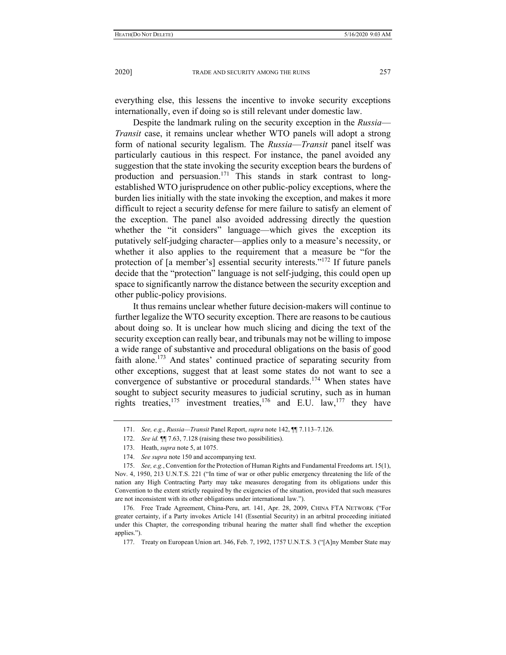everything else, this lessens the incentive to invoke security exceptions internationally, even if doing so is still relevant under domestic law.

Despite the landmark ruling on the security exception in the *Russia*— *Transit* case, it remains unclear whether WTO panels will adopt a strong form of national security legalism. The *Russia*—*Transit* panel itself was particularly cautious in this respect. For instance, the panel avoided any suggestion that the state invoking the security exception bears the burdens of production and persuasion.<sup>171</sup> This stands in stark contrast to longestablished WTO jurisprudence on other public-policy exceptions, where the burden lies initially with the state invoking the exception, and makes it more difficult to reject a security defense for mere failure to satisfy an element of the exception. The panel also avoided addressing directly the question whether the "it considers" language—which gives the exception its putatively self-judging character—applies only to a measure's necessity, or whether it also applies to the requirement that a measure be "for the protection of [a member's] essential security interests."172 If future panels decide that the "protection" language is not self-judging, this could open up space to significantly narrow the distance between the security exception and other public-policy provisions.

It thus remains unclear whether future decision-makers will continue to further legalize the WTO security exception. There are reasons to be cautious about doing so. It is unclear how much slicing and dicing the text of the security exception can really bear, and tribunals may not be willing to impose a wide range of substantive and procedural obligations on the basis of good faith alone.<sup>173</sup> And states' continued practice of separating security from other exceptions, suggest that at least some states do not want to see a convergence of substantive or procedural standards.<sup>174</sup> When states have sought to subject security measures to judicial scrutiny, such as in human rights treaties,<sup>175</sup> investment treaties,<sup>176</sup> and E.U. law,<sup>177</sup> they have

 <sup>171.</sup> *See, e.g.*, *Russia—Transit* Panel Report, *supra* note 142, ¶¶ 7.113–7.126.

 <sup>172.</sup> *See id.* ¶¶ 7.63, 7.128 (raising these two possibilities).

 <sup>173.</sup> Heath, *supra* note 5, at 1075.

 <sup>174.</sup> *See supra* note 150 and accompanying text.

 <sup>175.</sup> *See, e.g.*, Convention for the Protection of Human Rights and Fundamental Freedoms art. 15(1), Nov. 4, 1950, 213 U.N.T.S. 221 ("In time of war or other public emergency threatening the life of the nation any High Contracting Party may take measures derogating from its obligations under this Convention to the extent strictly required by the exigencies of the situation, provided that such measures are not inconsistent with its other obligations under international law.").

 <sup>176.</sup> Free Trade Agreement, China-Peru, art. 141, Apr. 28, 2009, CHINA FTA NETWORK ("For greater certainty, if a Party invokes Article 141 (Essential Security) in an arbitral proceeding initiated under this Chapter, the corresponding tribunal hearing the matter shall find whether the exception applies.").

 <sup>177.</sup> Treaty on European Union art. 346, Feb. 7, 1992, 1757 U.N.T.S. 3 ("[A]ny Member State may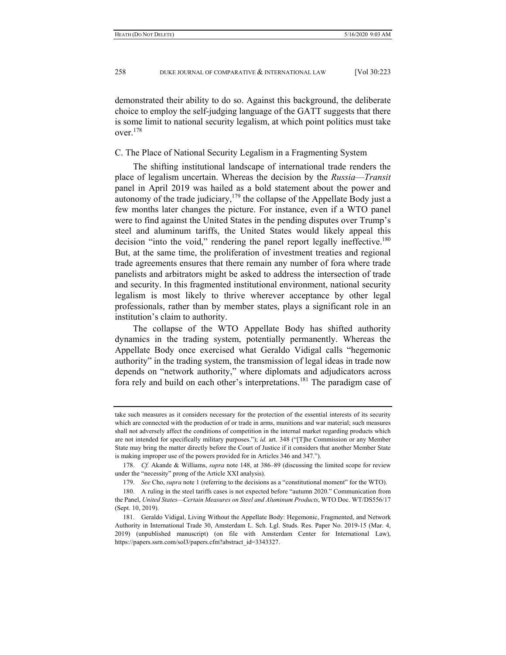demonstrated their ability to do so. Against this background, the deliberate choice to employ the self-judging language of the GATT suggests that there is some limit to national security legalism, at which point politics must take over.<sup>178</sup>

C. The Place of National Security Legalism in a Fragmenting System

The shifting institutional landscape of international trade renders the place of legalism uncertain. Whereas the decision by the *Russia*—*Transit* panel in April 2019 was hailed as a bold statement about the power and autonomy of the trade judiciary, $179$  the collapse of the Appellate Body just a few months later changes the picture. For instance, even if a WTO panel were to find against the United States in the pending disputes over Trump's steel and aluminum tariffs, the United States would likely appeal this decision "into the void," rendering the panel report legally ineffective.<sup>180</sup> But, at the same time, the proliferation of investment treaties and regional trade agreements ensures that there remain any number of fora where trade panelists and arbitrators might be asked to address the intersection of trade and security. In this fragmented institutional environment, national security legalism is most likely to thrive wherever acceptance by other legal professionals, rather than by member states, plays a significant role in an institution's claim to authority.

The collapse of the WTO Appellate Body has shifted authority dynamics in the trading system, potentially permanently. Whereas the Appellate Body once exercised what Geraldo Vidigal calls "hegemonic authority" in the trading system, the transmission of legal ideas in trade now depends on "network authority," where diplomats and adjudicators across fora rely and build on each other's interpretations.181 The paradigm case of

take such measures as it considers necessary for the protection of the essential interests of its security which are connected with the production of or trade in arms, munitions and war material; such measures shall not adversely affect the conditions of competition in the internal market regarding products which are not intended for specifically military purposes."); *id.* art. 348 ("[T]he Commission or any Member State may bring the matter directly before the Court of Justice if it considers that another Member State is making improper use of the powers provided for in Articles 346 and 347.").

 <sup>178.</sup> *Cf.* Akande & Williams, *supra* note 148, at 386–89 (discussing the limited scope for review under the "necessity" prong of the Article XXI analysis).

 <sup>179.</sup> *See* Cho, *supra* note 1 (referring to the decisions as a "constitutional moment" for the WTO).

 <sup>180.</sup> A ruling in the steel tariffs cases is not expected before "autumn 2020." Communication from the Panel, *United States—Certain Measures on Steel and Aluminum Products*, WTO Doc. WT/DS556/17 (Sept. 10, 2019).

 <sup>181.</sup> Geraldo Vidigal, Living Without the Appellate Body: Hegemonic, Fragmented, and Network Authority in International Trade 30, Amsterdam L. Sch. Lgl. Studs. Res. Paper No. 2019-15 (Mar. 4, 2019) (unpublished manuscript) (on file with Amsterdam Center for International Law), https://papers.ssrn.com/sol3/papers.cfm?abstract\_id=3343327.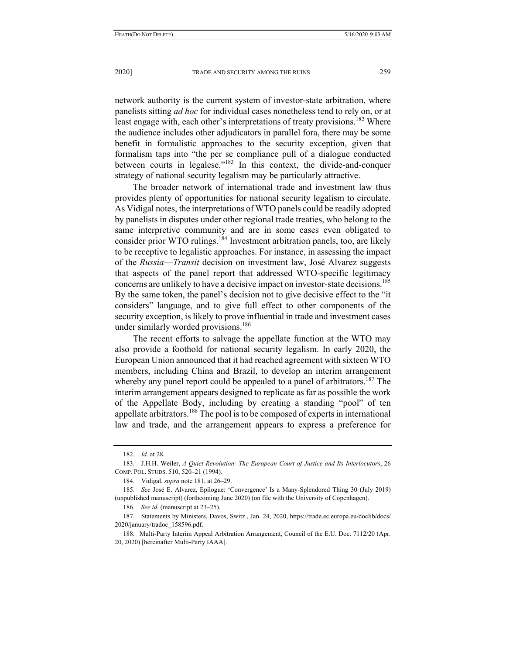network authority is the current system of investor-state arbitration, where panelists sitting *ad hoc* for individual cases nonetheless tend to rely on, or at least engage with, each other's interpretations of treaty provisions.<sup>182</sup> Where the audience includes other adjudicators in parallel fora, there may be some benefit in formalistic approaches to the security exception, given that formalism taps into "the per se compliance pull of a dialogue conducted between courts in legalese."183 In this context, the divide-and-conquer strategy of national security legalism may be particularly attractive.

The broader network of international trade and investment law thus provides plenty of opportunities for national security legalism to circulate. As Vidigal notes, the interpretations of WTO panels could be readily adopted by panelists in disputes under other regional trade treaties, who belong to the same interpretive community and are in some cases even obligated to consider prior WTO rulings.<sup>184</sup> Investment arbitration panels, too, are likely to be receptive to legalistic approaches. For instance, in assessing the impact of the *Russia*—*Transit* decision on investment law, José Alvarez suggests that aspects of the panel report that addressed WTO-specific legitimacy concerns are unlikely to have a decisive impact on investor-state decisions.<sup>185</sup> By the same token, the panel's decision not to give decisive effect to the "it considers" language, and to give full effect to other components of the security exception, is likely to prove influential in trade and investment cases under similarly worded provisions.<sup>186</sup>

The recent efforts to salvage the appellate function at the WTO may also provide a foothold for national security legalism. In early 2020, the European Union announced that it had reached agreement with sixteen WTO members, including China and Brazil, to develop an interim arrangement whereby any panel report could be appealed to a panel of arbitrators.<sup>187</sup> The interim arrangement appears designed to replicate as far as possible the work of the Appellate Body, including by creating a standing "pool" of ten appellate arbitrators.188 The pool is to be composed of experts in international law and trade, and the arrangement appears to express a preference for

 <sup>182.</sup> *Id.* at 28.

 <sup>183.</sup> J.H.H. Weiler, *A Quiet Revolution: The European Court of Justice and Its Interlocutors*, 26 COMP. POL. STUDS. 510, 520–21 (1994).

 <sup>184.</sup> Vidigal, *supra* note 181, at 26–29.

 <sup>185.</sup> *See* José E. Alvarez, Epilogue: 'Convergence' Is a Many-Splendored Thing 30 (July 2019) (unpublished manuscript) (forthcoming June 2020) (on file with the University of Copenhagen).

 <sup>186.</sup> *See id.* (manuscript at 23–25).

 <sup>187.</sup> Statements by Ministers, Davos, Switz., Jan. 24, 2020, https://trade.ec.europa.eu/doclib/docs/ 2020/january/tradoc\_158596.pdf.

 <sup>188.</sup> Multi-Party Interim Appeal Arbitration Arrangement, Council of the E.U. Doc. 7112/20 (Apr. 20, 2020) [hereinafter Multi-Party IAAA].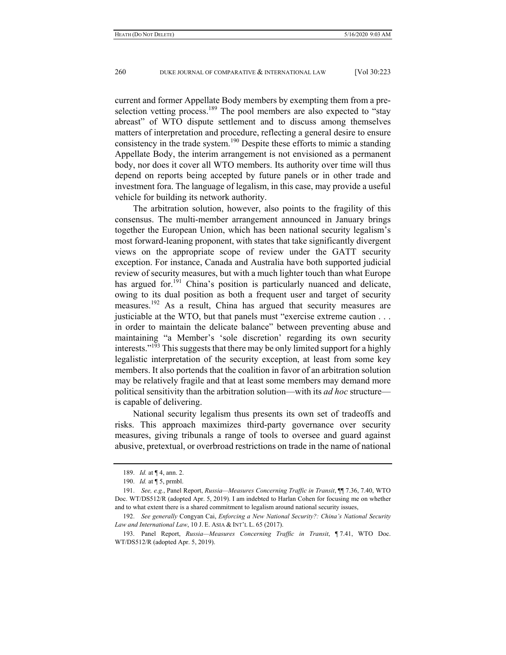current and former Appellate Body members by exempting them from a preselection vetting process.<sup>189</sup> The pool members are also expected to "stay abreast" of WTO dispute settlement and to discuss among themselves matters of interpretation and procedure, reflecting a general desire to ensure consistency in the trade system.190 Despite these efforts to mimic a standing Appellate Body, the interim arrangement is not envisioned as a permanent body, nor does it cover all WTO members. Its authority over time will thus depend on reports being accepted by future panels or in other trade and investment fora. The language of legalism, in this case, may provide a useful vehicle for building its network authority.

The arbitration solution, however, also points to the fragility of this consensus. The multi-member arrangement announced in January brings together the European Union, which has been national security legalism's most forward-leaning proponent, with states that take significantly divergent views on the appropriate scope of review under the GATT security exception. For instance, Canada and Australia have both supported judicial review of security measures, but with a much lighter touch than what Europe has argued for.<sup>191</sup> China's position is particularly nuanced and delicate, owing to its dual position as both a frequent user and target of security measures.192 As a result, China has argued that security measures are justiciable at the WTO, but that panels must "exercise extreme caution . . . in order to maintain the delicate balance" between preventing abuse and maintaining "a Member's 'sole discretion' regarding its own security interests."<sup>193</sup> This suggests that there may be only limited support for a highly legalistic interpretation of the security exception, at least from some key members. It also portends that the coalition in favor of an arbitration solution may be relatively fragile and that at least some members may demand more political sensitivity than the arbitration solution—with its *ad hoc* structure is capable of delivering.

National security legalism thus presents its own set of tradeoffs and risks. This approach maximizes third-party governance over security measures, giving tribunals a range of tools to oversee and guard against abusive, pretextual, or overbroad restrictions on trade in the name of national

 <sup>189.</sup> *Id.* at ¶ 4, ann. 2.

 <sup>190.</sup> *Id.* at ¶ 5, prmbl.

 <sup>191.</sup> *See, e.g.*, Panel Report, *Russia—Measures Concerning Traffic in Transit*, ¶¶ 7.36, 7.40, WTO Doc. WT/DS512/R (adopted Apr. 5, 2019). I am indebted to Harlan Cohen for focusing me on whether and to what extent there is a shared commitment to legalism around national security issues,

 <sup>192.</sup> *See generally* Congyan Cai, *Enforcing a New National Security?: China's National Security Law and International Law*, 10 J. E. ASIA & INT'L L. 65 (2017).

 <sup>193.</sup> Panel Report, *Russia—Measures Concerning Traffic in Transit*, ¶ 7.41, WTO Doc. WT/DS512/R (adopted Apr. 5, 2019).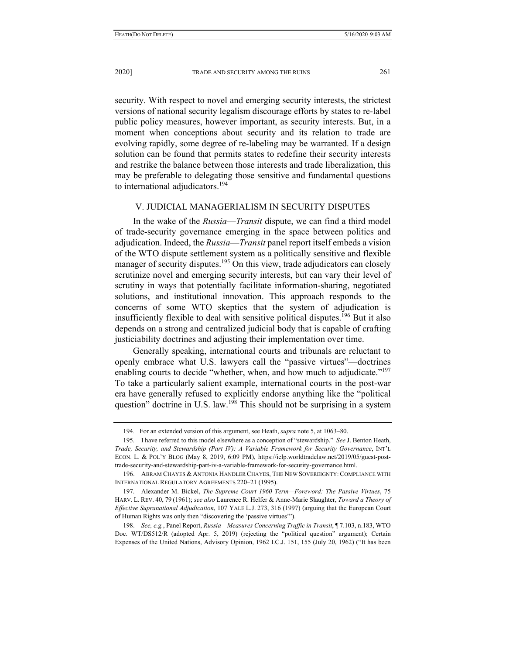security. With respect to novel and emerging security interests, the strictest versions of national security legalism discourage efforts by states to re-label public policy measures, however important, as security interests. But, in a moment when conceptions about security and its relation to trade are evolving rapidly, some degree of re-labeling may be warranted. If a design solution can be found that permits states to redefine their security interests and restrike the balance between those interests and trade liberalization, this may be preferable to delegating those sensitive and fundamental questions to international adjudicators.<sup>194</sup>

# V. JUDICIAL MANAGERIALISM IN SECURITY DISPUTES

In the wake of the *Russia*—*Transit* dispute, we can find a third model of trade-security governance emerging in the space between politics and adjudication. Indeed, the *Russia*—*Transit* panel report itself embeds a vision of the WTO dispute settlement system as a politically sensitive and flexible manager of security disputes.<sup>195</sup> On this view, trade adjudicators can closely scrutinize novel and emerging security interests, but can vary their level of scrutiny in ways that potentially facilitate information-sharing, negotiated solutions, and institutional innovation. This approach responds to the concerns of some WTO skeptics that the system of adjudication is insufficiently flexible to deal with sensitive political disputes.<sup>196</sup> But it also depends on a strong and centralized judicial body that is capable of crafting justiciability doctrines and adjusting their implementation over time.

Generally speaking, international courts and tribunals are reluctant to openly embrace what U.S. lawyers call the "passive virtues"—doctrines enabling courts to decide "whether, when, and how much to adjudicate."<sup>197</sup> To take a particularly salient example, international courts in the post-war era have generally refused to explicitly endorse anything like the "political question" doctrine in U.S. law.<sup>198</sup> This should not be surprising in a system

<sup>194</sup>*.* For an extended version of this argument, see Heath, *supra* note 5, at 1063–80.

 <sup>195.</sup> I have referred to this model elsewhere as a conception of "stewardship." *See* J. Benton Heath, *Trade, Security, and Stewardship (Part IV): A Variable Framework for Security Governance*, INT'L ECON. L. & POL'Y BLOG (May 8, 2019, 6:09 PM), https://ielp.worldtradelaw.net/2019/05/guest-posttrade-security-and-stewardship-part-iv-a-variable-framework-for-security-governance.html.

 <sup>196.</sup> ABRAM CHAYES & ANTONIA HANDLER CHAYES, THE NEW SOVEREIGNTY:COMPLIANCE WITH INTERNATIONAL REGULATORY AGREEMENTS 220–21 (1995).

 <sup>197.</sup> Alexander M. Bickel, *The Supreme Court 1960 Term—Foreword: The Passive Virtues*, 75 HARV. L. REV. 40, 79 (1961); *see also* Laurence R. Helfer & Anne-Marie Slaughter, *Toward a Theory of Effective Supranational Adjudication*, 107 YALE L.J. 273, 316 (1997) (arguing that the European Court of Human Rights was only then "discovering the 'passive virtues'").

 <sup>198.</sup> *See, e.g.*, Panel Report, *Russia—Measures Concerning Traffic in Transit*, ¶ 7.103, n.183, WTO Doc. WT/DS512/R (adopted Apr. 5, 2019) (rejecting the "political question" argument); Certain Expenses of the United Nations, Advisory Opinion, 1962 I.C.J. 151, 155 (July 20, 1962) ("It has been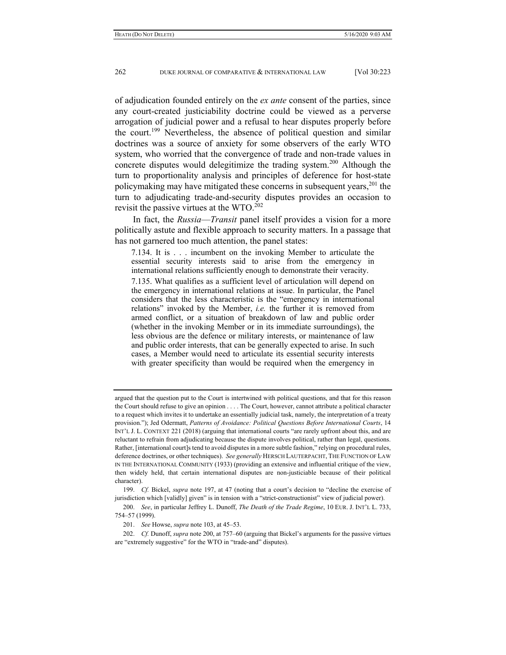of adjudication founded entirely on the *ex ante* consent of the parties, since any court-created justiciability doctrine could be viewed as a perverse arrogation of judicial power and a refusal to hear disputes properly before the court.<sup>199</sup> Nevertheless, the absence of political question and similar doctrines was a source of anxiety for some observers of the early WTO system, who worried that the convergence of trade and non-trade values in concrete disputes would delegitimize the trading system.<sup>200</sup> Although the turn to proportionality analysis and principles of deference for host-state policymaking may have mitigated these concerns in subsequent years,  $2^{01}$  the turn to adjudicating trade-and-security disputes provides an occasion to revisit the passive virtues at the WTO.<sup>202</sup>

In fact, the *Russia*—*Transit* panel itself provides a vision for a more politically astute and flexible approach to security matters. In a passage that has not garnered too much attention, the panel states:

7.134. It is . . . incumbent on the invoking Member to articulate the essential security interests said to arise from the emergency in international relations sufficiently enough to demonstrate their veracity.

7.135. What qualifies as a sufficient level of articulation will depend on the emergency in international relations at issue. In particular, the Panel considers that the less characteristic is the "emergency in international relations" invoked by the Member, *i.e.* the further it is removed from armed conflict, or a situation of breakdown of law and public order (whether in the invoking Member or in its immediate surroundings), the less obvious are the defence or military interests, or maintenance of law and public order interests, that can be generally expected to arise. In such cases, a Member would need to articulate its essential security interests with greater specificity than would be required when the emergency in

argued that the question put to the Court is intertwined with political questions, and that for this reason the Court should refuse to give an opinion . . . . The Court, however, cannot attribute a political character to a request which invites it to undertake an essentially judicial task, namely, the interpretation of a treaty provision."); Jed Odermatt, *Patterns of Avoidance: Political Questions Before International Courts*, 14 INT'L J. L. CONTEXT 221 (2018) (arguing that international courts "are rarely upfront about this, and are reluctant to refrain from adjudicating because the dispute involves political, rather than legal, questions. Rather, [international court]s tend to avoid disputes in a more subtle fashion," relying on procedural rules, deference doctrines, or other techniques). *See generally* HERSCH LAUTERPACHT, THE FUNCTION OF LAW IN THE INTERNATIONAL COMMUNITY (1933) (providing an extensive and influential critique of the view, then widely held, that certain international disputes are non-justiciable because of their political character).

 <sup>199.</sup> *Cf.* Bickel, *supra* note 197, at 47 (noting that a court's decision to "decline the exercise of jurisdiction which [validly] given" is in tension with a "strict-constructionist" view of judicial power).

 <sup>200.</sup> *See*, in particular Jeffrey L. Dunoff, *The Death of the Trade Regime*, 10 EUR. J. INT'L L. 733, 754–57 (1999).

 <sup>201.</sup> *See* Howse, *supra* note 103, at 45–53.

 <sup>202.</sup> *Cf.* Dunoff, *supra* note 200, at 757–60 (arguing that Bickel's arguments for the passive virtues are "extremely suggestive" for the WTO in "trade-and" disputes).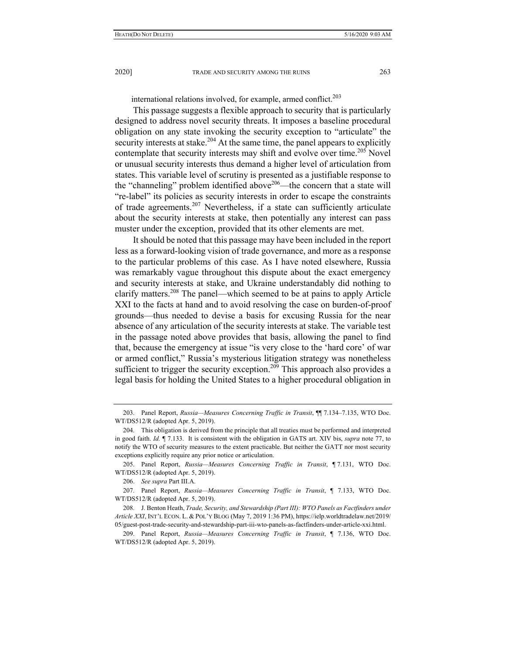international relations involved, for example, armed conflict.<sup>203</sup>

This passage suggests a flexible approach to security that is particularly designed to address novel security threats. It imposes a baseline procedural obligation on any state invoking the security exception to "articulate" the security interests at stake.<sup>204</sup> At the same time, the panel appears to explicitly contemplate that security interests may shift and evolve over time.<sup>205</sup> Novel or unusual security interests thus demand a higher level of articulation from states. This variable level of scrutiny is presented as a justifiable response to the "channeling" problem identified above  $206$ —the concern that a state will "re-label" its policies as security interests in order to escape the constraints of trade agreements.207 Nevertheless, if a state can sufficiently articulate about the security interests at stake, then potentially any interest can pass muster under the exception, provided that its other elements are met.

It should be noted that this passage may have been included in the report less as a forward-looking vision of trade governance, and more as a response to the particular problems of this case. As I have noted elsewhere, Russia was remarkably vague throughout this dispute about the exact emergency and security interests at stake, and Ukraine understandably did nothing to clarify matters.208 The panel—which seemed to be at pains to apply Article XXI to the facts at hand and to avoid resolving the case on burden-of-proof grounds—thus needed to devise a basis for excusing Russia for the near absence of any articulation of the security interests at stake. The variable test in the passage noted above provides that basis, allowing the panel to find that, because the emergency at issue "is very close to the 'hard core' of war or armed conflict," Russia's mysterious litigation strategy was nonetheless sufficient to trigger the security exception.<sup>209</sup> This approach also provides a legal basis for holding the United States to a higher procedural obligation in

 <sup>203.</sup> Panel Report, *Russia—Measures Concerning Traffic in Transit*, ¶¶ 7.134–7.135, WTO Doc. WT/DS512/R (adopted Apr. 5, 2019).

 <sup>204.</sup> This obligation is derived from the principle that all treaties must be performed and interpreted in good faith. *Id.* ¶ 7.133. It is consistent with the obligation in GATS art. XIV bis, *supra* note 77, to notify the WTO of security measures to the extent practicable. But neither the GATT nor most security exceptions explicitly require any prior notice or articulation.

 <sup>205.</sup> Panel Report, *Russia—Measures Concerning Traffic in Transit*, ¶ 7.131, WTO Doc. WT/DS512/R (adopted Apr. 5, 2019).

 <sup>206.</sup> *See supra* Part III.A.

 <sup>207.</sup> Panel Report, *Russia—Measures Concerning Traffic in Transit*, ¶ 7.133, WTO Doc. WT/DS512/R (adopted Apr. 5, 2019).

 <sup>208.</sup> J. Benton Heath, *Trade, Security, and Stewardship (Part III): WTO Panels as Factfinders under Article XXI*, INT'L ECON. L. & POL'Y BLOG (May 7, 2019 1:36 PM), https://ielp.worldtradelaw.net/2019/ 05/guest-post-trade-security-and-stewardship-part-iii-wto-panels-as-factfinders-under-article-xxi.html.

 <sup>209.</sup> Panel Report, *Russia—Measures Concerning Traffic in Transit*, ¶ 7.136, WTO Doc. WT/DS512/R (adopted Apr. 5, 2019).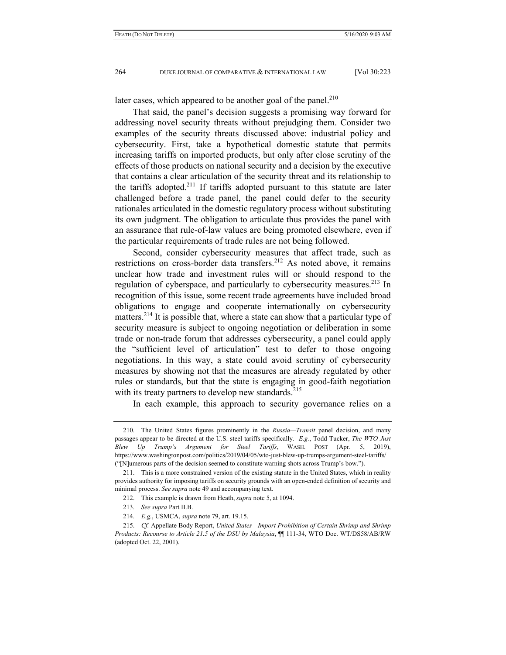later cases, which appeared to be another goal of the panel.<sup>210</sup>

That said, the panel's decision suggests a promising way forward for addressing novel security threats without prejudging them. Consider two examples of the security threats discussed above: industrial policy and cybersecurity. First, take a hypothetical domestic statute that permits increasing tariffs on imported products, but only after close scrutiny of the effects of those products on national security and a decision by the executive that contains a clear articulation of the security threat and its relationship to the tariffs adopted.<sup>211</sup> If tariffs adopted pursuant to this statute are later challenged before a trade panel, the panel could defer to the security rationales articulated in the domestic regulatory process without substituting its own judgment. The obligation to articulate thus provides the panel with an assurance that rule-of-law values are being promoted elsewhere, even if the particular requirements of trade rules are not being followed.

Second, consider cybersecurity measures that affect trade, such as restrictions on cross-border data transfers.<sup>212</sup> As noted above, it remains unclear how trade and investment rules will or should respond to the regulation of cyberspace, and particularly to cybersecurity measures.<sup>213</sup> In recognition of this issue, some recent trade agreements have included broad obligations to engage and cooperate internationally on cybersecurity matters.<sup>214</sup> It is possible that, where a state can show that a particular type of security measure is subject to ongoing negotiation or deliberation in some trade or non-trade forum that addresses cybersecurity, a panel could apply the "sufficient level of articulation" test to defer to those ongoing negotiations. In this way, a state could avoid scrutiny of cybersecurity measures by showing not that the measures are already regulated by other rules or standards, but that the state is engaging in good-faith negotiation with its treaty partners to develop new standards.<sup>215</sup>

In each example, this approach to security governance relies on a

 <sup>210.</sup> The United States figures prominently in the *Russia—Transit* panel decision, and many passages appear to be directed at the U.S. steel tariffs specifically. *E.g.*, Todd Tucker, *The WTO Just Blew Up Trump's Argument for Steel Tariffs*, WASH. POST (Apr. 5, 2019), https://www.washingtonpost.com/politics/2019/04/05/wto-just-blew-up-trumps-argument-steel-tariffs/ ("[N]umerous parts of the decision seemed to constitute warning shots across Trump's bow.").

 <sup>211.</sup> This is a more constrained version of the existing statute in the United States, which in reality provides authority for imposing tariffs on security grounds with an open-ended definition of security and minimal process. *See supra* note 49 and accompanying text.

 <sup>212.</sup> This example is drawn from Heath, *supra* note 5, at 1094.

 <sup>213.</sup> *See supra* Part II.B.

 <sup>214.</sup> *E.g.*, USMCA, *supra* note 79, art. 19.15.

 <sup>215.</sup> *Cf.* Appellate Body Report, *United States—Import Prohibition of Certain Shrimp and Shrimp Products: Recourse to Article 21.5 of the DSU by Malaysia*, ¶¶ 111-34, WTO Doc. WT/DS58/AB/RW (adopted Oct. 22, 2001).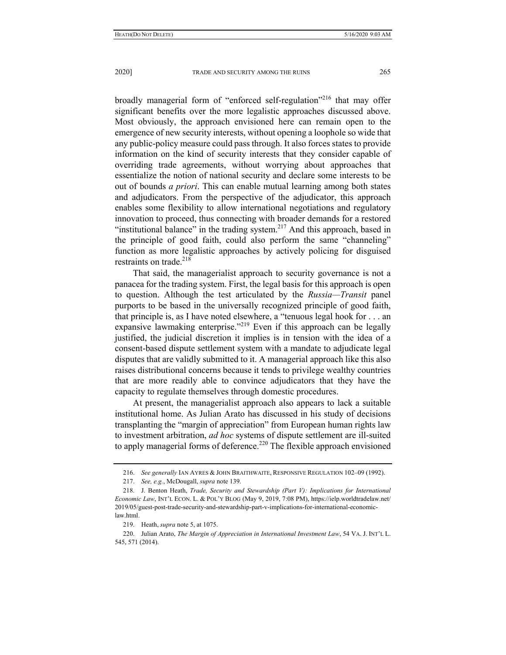broadly managerial form of "enforced self-regulation"<sup>216</sup> that may offer significant benefits over the more legalistic approaches discussed above. Most obviously, the approach envisioned here can remain open to the emergence of new security interests, without opening a loophole so wide that any public-policy measure could pass through. It also forces states to provide information on the kind of security interests that they consider capable of overriding trade agreements, without worrying about approaches that essentialize the notion of national security and declare some interests to be out of bounds *a priori*. This can enable mutual learning among both states and adjudicators. From the perspective of the adjudicator, this approach enables some flexibility to allow international negotiations and regulatory innovation to proceed, thus connecting with broader demands for a restored "institutional balance" in the trading system. $217$  And this approach, based in the principle of good faith, could also perform the same "channeling" function as more legalistic approaches by actively policing for disguised restraints on trade. $218$ 

That said, the managerialist approach to security governance is not a panacea for the trading system. First, the legal basis for this approach is open to question. Although the test articulated by the *Russia—Transit* panel purports to be based in the universally recognized principle of good faith, that principle is, as I have noted elsewhere, a "tenuous legal hook for . . . an expansive lawmaking enterprise."<sup>219</sup> Even if this approach can be legally justified, the judicial discretion it implies is in tension with the idea of a consent-based dispute settlement system with a mandate to adjudicate legal disputes that are validly submitted to it. A managerial approach like this also raises distributional concerns because it tends to privilege wealthy countries that are more readily able to convince adjudicators that they have the capacity to regulate themselves through domestic procedures.

At present, the managerialist approach also appears to lack a suitable institutional home. As Julian Arato has discussed in his study of decisions transplanting the "margin of appreciation" from European human rights law to investment arbitration, *ad hoc* systems of dispute settlement are ill-suited to apply managerial forms of deference.<sup>220</sup> The flexible approach envisioned

 <sup>216.</sup> *See generally* IAN AYRES & JOHN BRAITHWAITE, RESPONSIVE REGULATION 102–09 (1992).

 <sup>217.</sup> *See, e.g.*, McDougall, *supra* note 139.

 <sup>218.</sup> J. Benton Heath, *Trade, Security and Stewardship (Part V): Implications for International Economic Law*, INT'L ECON. L. & POL'Y BLOG (May 9, 2019, 7:08 PM), https://ielp.worldtradelaw.net/ 2019/05/guest-post-trade-security-and-stewardship-part-v-implications-for-international-economiclaw.html.

 <sup>219.</sup> Heath, *supra* note 5, at 1075.

 <sup>220.</sup> Julian Arato, *The Margin of Appreciation in International Investment Law*, 54 VA. J. INT'L L. 545, 571 (2014).